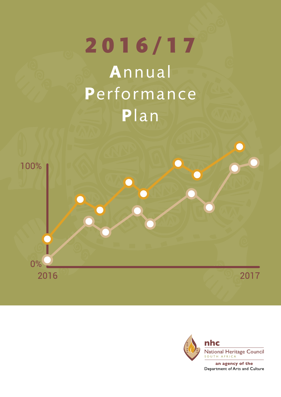# 2016/17 Annual Performance Plan 100% 0% 2017 2016



Department of Arts and Culture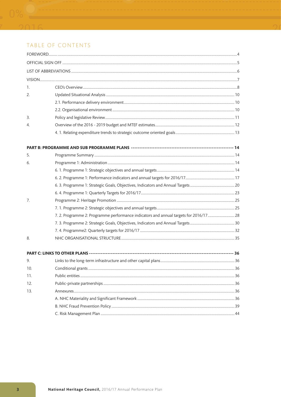# TABLE OF CONTENTS

| $\mathbf{1}$ . |                                                                                       |  |
|----------------|---------------------------------------------------------------------------------------|--|
| 2.             |                                                                                       |  |
|                |                                                                                       |  |
|                |                                                                                       |  |
| 3.             |                                                                                       |  |
| 4.             |                                                                                       |  |
|                |                                                                                       |  |
|                |                                                                                       |  |
| 5.             |                                                                                       |  |
| 6.             |                                                                                       |  |
|                |                                                                                       |  |
|                |                                                                                       |  |
|                |                                                                                       |  |
|                |                                                                                       |  |
| 7.             |                                                                                       |  |
|                |                                                                                       |  |
|                | 7. 2. Programme 2: Programme performance indicators and annual targets for 2016/17 28 |  |
|                |                                                                                       |  |
|                |                                                                                       |  |
| 8.             |                                                                                       |  |
|                |                                                                                       |  |
| 9.             |                                                                                       |  |
| 10.            |                                                                                       |  |
| 11.            |                                                                                       |  |
| 12.            |                                                                                       |  |
| 13.            |                                                                                       |  |
|                |                                                                                       |  |
|                |                                                                                       |  |
|                |                                                                                       |  |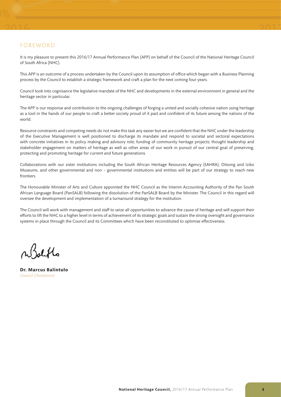# **FOREWORD**

It is my pleasure to present this 2016/17 Annual Performance Plan (APP) on behalf of the Council of the National Heritage Council of South Africa (NHC).

This APP is an outcome of a process undertaken by the Council upon its assumption of office which began with a Business Planning process by the Council to establish a strategic framework and craft a plan for the next coming four years.

Council took into cognisance the legislative mandate of the NHC and developments in the external environment in general and the heritage sector in particular.

The APP is our response and contribution to the ongoing challenges of forging a united and socially cohesive nation using heritage as a tool in the hands of our people to craft a better society proud of it past and confident of its future among the nations of the world.

Resource constraints and competing needs do not make this task any easier but we are confident that the NHC under the leadership of the Executive Management is well positioned to discharge its mandate and respond to societal and sectoral expectations with concrete initiatives in its policy making and advisory role; funding of community heritage projects; thought leadership and stakeholder engagement on matters of heritage as well as other areas of our work in pursuit of our central goal of preserving, protecting and promoting heritage for current and future generations.

Collaborations with our sister institutions including the South African Heritage Resources Agency (SAHRA), Ditsong and Iziko Museums, and other governmental and non – governmental institutions and entities will be part of our strategy to reach new frontiers.

The Honourable Minister of Arts and Culture appointed the NHC Council as the Interim Accounting Authority of the Pan South African Language Board (PanSALB) following the dissolution of the PanSALB Board by the Minister. The Council in this regard will oversee the development and implementation of a turnaround strategy for the institution.

The Council will work with management and staff to seize all opportunities to advance the cause of heritage and will support their efforts to lift the NHC to a higher level in terms of achievement of its strategic goals and sustain the strong oversight and governance systems in place through the Council and its Committees which have been reconstituted to optimise effectiveness.

 $\mathcal{H}_{\alpha}$ 

**Dr. Marcus Balintulo** *Council Chairperson*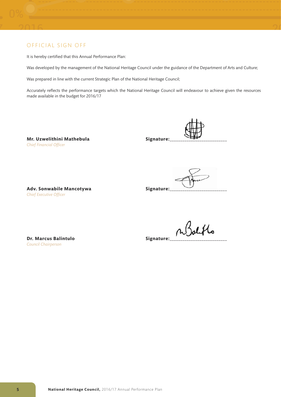# OFFICIAL SIGN OFF

It is hereby certified that this Annual Performance Plan:

Was developed by the management of the National Heritage Council under the guidance of the Department of Arts and Culture;

Was prepared in line with the current Strategic Plan of the National Heritage Council;

Accurately reflects the performance targets which the National Heritage Council will endeavour to achieve given the resources made available in the budget for 2016/17

Mr. Uzwelithini Mathebula **Signature:** *Chief Financial Officer*

Adv. Sonwabile Mancotywa **Signature:** 

*Chief Executive Officer*

**Dr. Marcus Balintulo** Signature: Malle

*Council Chairperson*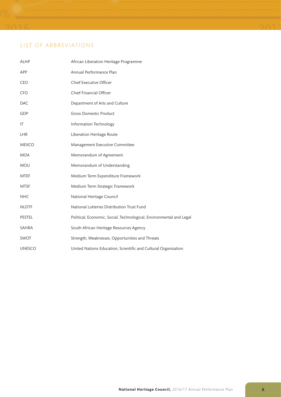# LIST OF ABBREVIATIONS

| <b>ALHP</b>   | African Liberation Heritage Programme                               |
|---------------|---------------------------------------------------------------------|
| APP           | Annual Performance Plan                                             |
| <b>CEO</b>    | <b>Chief Executive Officer</b>                                      |
| <b>CFO</b>    | Chief Financial Officer                                             |
| <b>DAC</b>    | Department of Arts and Culture                                      |
| GDP           | <b>Gross Domestic Product</b>                                       |
| IT            | Information Technology                                              |
| LHR           | Liberation Heritage Route                                           |
| <b>MEXCO</b>  | Management Executive Committee                                      |
| <b>MOA</b>    | Memorandum of Agreement                                             |
| <b>MOU</b>    | Memorandum of Understanding                                         |
| <b>MTEF</b>   | Medium Term Expenditure Framework                                   |
| <b>MTSF</b>   | Medium Term Strategic Framework                                     |
| <b>NHC</b>    | National Heritage Council                                           |
| <b>NLDTF</b>  | National Lotteries Distribution Trust Fund                          |
| <b>PESTEL</b> | Political, Economic, Social, Technological, Environmental and Legal |
| <b>SAHRA</b>  | South African Heritage Resources Agency                             |
| <b>SWOT</b>   | Strength, Weaknesses, Opportunities and Threats                     |
| <b>UNESCO</b> | United Nations Education, Scientific and Cultural Organisation      |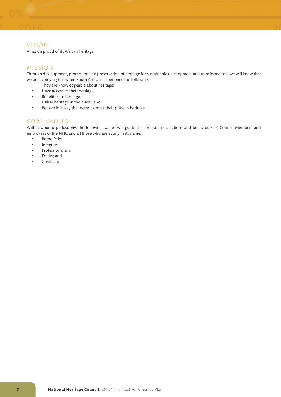# **VISION**

A nation proud of its African heritage.

# Mission

Through development, promotion and preservation of heritage for sustainable development and transformation, we will know that we are achieving this when South Africans experience the following:

- They are knowledgeable about heritage;
- Have access to their heritage;
- Benefit from heritage;
- • Utilise heritage in their lives; and
- • Behave in a way that demonstrates their pride in heritage

# Core Values

Within Ubuntu philosophy, the following values will guide the programmes, actions and behaviours of Council Members and employees of the NHC and all those who are acting in its name:

- • Batho Pele;
- Integrity;
- Professionalism;
- • Equity; and
- • Creativity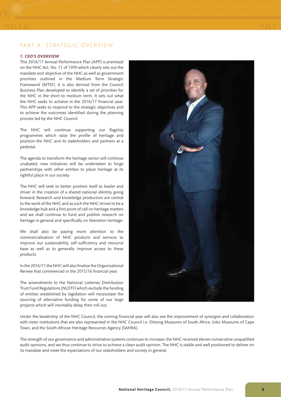# PART A: STRATEGIC OVERVIEW

## *1. CEO's Overview*

This 2016/17 Annual Performance Plan (APP) is premised on the NHC Act, No. 11 of 1999 which clearly sets out the mandate and objective of the NHC as well as government priorities outlined in the Medium Term Strategic Framework (MTSF). It is also derived from the Council Business Plan developed to identify a set of priorities for the NHC in the short to medium term. It sets out what the NHC seeks to achieve in the 2016/17 financial year. This APP seeks to respond to the strategic objectives and to achieve the outcomes identified during the planning process led by the NHC Council.

The NHC will continue supporting our flagship programmes which raise the profile of heritage and position the NHC and its stakeholders and partners at a pedestal.

The agenda to transform the heritage sector will continue unabated, new initiatives will be undertaken to forge partnerships with other entities to place heritage at its rightful place in our society.

The NHC will seek to better position itself as leader and driver in the creation of a shared national identity going forward; Research and knowledge production are central to the work of the NHC and as such the NHC strives to be a knowledge hub and a first point of call on heritage matters and we shall continue to fund and publish research on heritage in general and specifically on liberation heritage.

We shall also be paying more attention to the commercialisation of NHC products and services to improve our sustainability, self-sufficiency and resource base as well as to generally improve access to these products.

In the 2016/17 the NHC will also finalise the Organisational Review that commenced in the 2015/16 financial year.

The amendments to the National Lotteries Distribution Trust Fund Regulations (NLDTF) which exclude the funding of entities established by legislation will necessitate the sourcing of alternative funding for some of our large projects which will inevitably delay their roll out.

Under the leadership of the NHC Council, the coming financial year will also see the improvement of synergies and collaboration with sister institutions that are also represented in the NHC Council i.e. Ditsong Museums of South Africa, Iziko Museums of Cape Town, and the South African Heritage Resources Agency (SAHRA).

The strength of our governance and administrative systems continues to increase; the NHC received eleven consecutive unqualified audit opinions, and we thus continue to strive to achieve a clean audit opinion. The NHC is stable and well positioned to deliver on its mandate and meet the expectations of our stakeholders and society in general.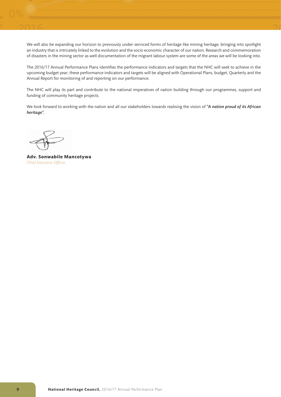We will also be expanding our horizon to previously under-serviced forms of heritage like mining heritage, bringing into spotlight an industry that is intricately linked to the evolution and the socio economic character of our nation. Research and commemoration of disasters in the mining sector as well documentation of the migrant labour system are some of the areas we will be looking into.

The 2016/17 Annual Performance Plans identifies the performance indicators and targets that the NHC will seek to achieve in the upcoming budget year; these performance indicators and targets will be aligned with Operational Plans, budget, Quarterly and the Annual Report for monitoring of and reporting on our performance.

The NHC will play its part and contribute to the national imperatives of nation building through our programmes, support and funding of community heritage projects.

We look forward to working with the nation and all our stakeholders towards realising the vision of *"A nation proud of its African heritage".*

**Adv. Sonwabile Mancotywa** *Chief Executive Officer*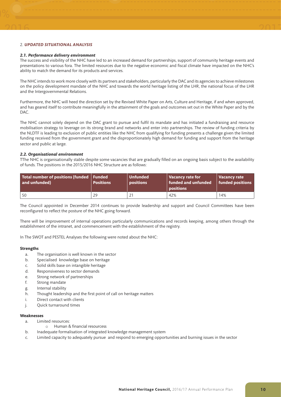## 2. *Updated Situational Analysis*

#### *2.1. Performance delivery environment*

The success and visibility of the NHC have led to an increased demand for partnerships, support of community heritage events and presentations to various fora. The limited resources due to the negative economic and fiscal climate have impacted on the NHC's ability to match the demand for its products and services.

The NHC intends to work more closely with its partners and stakeholders, particularly the DAC and its agencies to achieve milestones on the policy development mandate of the NHC and towards the world heritage listing of the LHR, the national focus of the LHR and the Intergovernmental Relations.

Furthermore, the NHC will heed the direction set by the Revised White Paper on Arts, Culture and Heritage, if and when approved, and has geared itself to contribute meaningfully in the attainment of the goals and outcomes set out in the White Paper and by the DAC.

The NHC cannot solely depend on the DAC grant to pursue and fulfil its mandate and has initiated a fundraising and resource mobilisation strategy to leverage on its strong brand and networks and enter into partnerships. The review of funding criteria by the NLDTF is leading to exclusion of public entities like the NHC from qualifying for funding presents a challenge given the limited funding received from the government grant and the disproportionately high demand for funding and support from the heritage sector and public at large.

#### *2.2. Organisational environment*

TThe NHC is organisationally stable despite some vacancies that are gradually filled on an ongoing basis subject to the availability of funds. The positions in the 2015/2016 NHC Structure are as follows:

| Total number of positions (funded   Funded  <br>and unfunded) | <b>Positions</b> | <b>Unfunded</b><br>positions | $\mid$ Vacancy rate for<br>$\mid$ funded and unfunded $\mid$ funded positions $\mid$<br>positions | $\vert$ Vacancy rate |
|---------------------------------------------------------------|------------------|------------------------------|---------------------------------------------------------------------------------------------------|----------------------|
| 50                                                            | 29               |                              | 42%                                                                                               | 14%                  |

The Council appointed in December 2014 continues to provide leadership and support and Council Committees have been reconfigured to reflect the posture of the NHC going forward.

There will be improvement of internal operations particularly communications and records keeping, among others through the establishment of the intranet, and commencement with the establishment of the registry.

In The SWOT and PESTEL Analyses the following were noted about the NHC:

#### **Strengths**

- a. The organisation is well known in the sector
- b. Specialised knowledge base on heritage
- c. Solid skills base on intangible heritage
- d. Responsiveness to sector demands
- e. Strong network of partnerships
- f. Strong mandate
- g. Internal stability
- h. Thought leadership and the first point of call on heritage matters
- i. Direct contact with clients
- j. Quick turnaround times

#### **Weaknesses**

- a. Limited resources:
- o Human & financial resourcess
- b. Inadequate formalisation of integrated knowledge management system
- c. Limited capacity to adequately pursue and respond to emerging opportunities and burning issues in the sector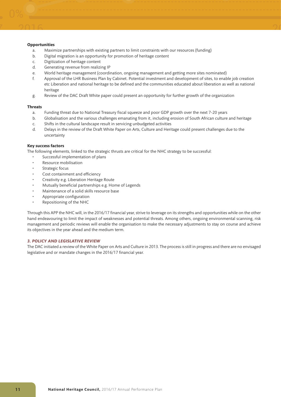## **Opportunities**

- a. Maximize partnerships with existing partners to limit constraints with our resources (funding)
- b. Digital migration is an opportunity for promotion of heritage content
- c. Digitization of heritage content
- d. Generating revenue from realizing IP
- e. World heritage management (coordination, ongoing management and getting more sites nominated)
- f. Approval of the LHR Business Plan by Cabinet. Potential investment and development of sites, to enable job creation etc Liberation and national heritage to be defined and the communities educated about liberation as well as national heritage
- g. Review of the DAC Draft White paper could present an opportunity for further growth of the organization

#### **Threats**

- a. Funding threat due to National Treasury fiscal squeeze and poor GDP growth over the next 7-20 years
- b. Globalisation and the various challenges emanating from it, including erosion of South African culture and heritage
- c. Shifts in the cultural landscape result in servicing unbudgeted activities
- d. Delays in the review of the Draft White Paper on Arts, Culture and Heritage could present challenges due to the uncertainty

#### **Key success factors**

The following elements, linked to the strategic thrusts are critical for the NHC strategy to be successful:

- Successful implementation of plans
- Resource mobilisation
- • Strategic focus
- Cost containment and efficiency
- Creativity e.g. Liberation Heritage Route
- Mutually beneficial partnerships e.g. Home of Legends
- Maintenance of a solid skills resource base
- Appropriate configuration
- Repositioning of the NHC

Through this APP the NHC will, in the 2016/17 financial year, strive to leverage on its strengths and opportunities while on the other hand endeavouring to limit the impact of weaknesses and potential threats. Among others, ongoing environmental scanning, risk management and periodic reviews will enable the organisation to make the necessary adjustments to stay on course and achieve its objectives in the year ahead and the medium term.

# *3. Policy and legislative Review*

The DAC initiated a review of the White Paper on Arts and Culture in 2013. The process is still in progress and there are no envisaged legislative and or mandate changes in the 2016/17 financial year.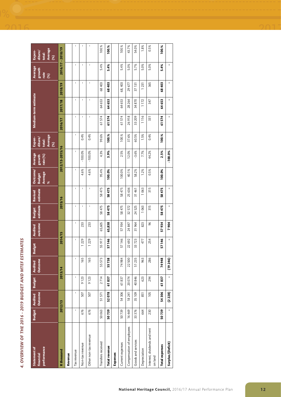4. OVERVIEW OF THE 2016 - 2019 BUDGET AND MTEF ESTIMATES *4. Overview of the 2016 - 2019 budget and MTEF estimates*

| performance<br><b>Statement of</b><br>financial | <b>Budget</b> | Outcome<br>Audited | <b>Budget</b> | Outcome<br><b>Audited</b> | <b>Budget</b> | putcome<br><b>Audited</b> | estimate<br><b>Budget</b> | estimate<br><b>Revised</b> | Outcome/<br>Average<br><b>Budget</b><br>ৼ | Average<br>rate (%)<br>growth | Average<br>Expen-<br>diture/<br>total:<br>$(*)$ |              | Medium-term estimate |         | Average<br>growth<br>rate<br>(%) | Average<br>diture/<br>Expen-<br>total:<br>(%) |
|-------------------------------------------------|---------------|--------------------|---------------|---------------------------|---------------|---------------------------|---------------------------|----------------------------|-------------------------------------------|-------------------------------|-------------------------------------------------|--------------|----------------------|---------|----------------------------------|-----------------------------------------------|
| <b>R</b> thousand                               |               | 2012/13            |               | 2013/14                   | 2014/15       |                           |                           | 2015/16                    |                                           | 2012/13-2015/16               |                                                 | 2016/17      | 2017/18              | 2018/19 |                                  | 2016/17 - 2018/19                             |
| Revenue                                         |               |                    |               |                           |               |                           |                           |                            |                                           |                               |                                                 |              |                      |         |                                  |                                               |
| Tax revenue                                     | 1             | I                  | I             | $\mathsf I$               | $\mathbf{I}$  | $\mathbf I$               | $\mathbf{I}$              | $\mathbf I$                | Ĭ.                                        | $\mathbf{I}$                  | $\mathbf I$                                     | $\mathbf{I}$ | Ĭ.                   | Ĭ.      | $\mathbf{I}$                     | 1                                             |
| Non-tax revenue                                 | 676           | 507                | 9123          | 165                       | 1229          | 233                       | $\mathbf I$               | $\mathbf I$                | 4.6%                                      | $-100.0%$                     | 0.4%                                            | $\mathbf{I}$ | Ť                    | Ť       | $\mathbf I$                      | I                                             |
| Other non-tax revenue                           | 676           | 507                | 9123          | 165                       | 1229          | 233                       | $\mathbf I$               | $\mathbf I$                | 4.6%                                      | $-100.0%$                     | 0.4%                                            | $\mathbf{I}$ | f,                   | f,      | $\mathbf{I}$                     | 1                                             |
| Transfers received                              | 50063         | 571<br>57          | 2714          | 55573                     | 55917         | 65,605                    | 58475                     | 58475                      | 95.4%                                     | 4.3%                          | 99.6%                                           | 574<br>51    | 64653                | 68403   | 5.4%                             | 100.%                                         |
| Total revenue                                   | 50739         | 52078              | 61837         | 55738                     | 57146         | 65,838                    | 58475                     | 58475                      | 100.0%                                    | 3.9%                          | 100.%                                           | 574<br>5     | 64 653               | 68403   | 5.4%                             | 100.%                                         |
| Expenses                                        |               |                    |               |                           |               |                           |                           |                            |                                           |                               |                                                 |              |                      |         |                                  |                                               |
| Current expenses                                | 50739         | 54306              | 61837         | 74984                     | 57 146        | 57934                     | 58475                     | 58475                      | 100.0%                                    | 2.5%                          | 100.%                                           | 61574        | 64 653               | 68, 403 | 5.4%                             | 100.%                                         |
| Compensation of employees                       | 16469         | 18241              | 20074         | 22500                     | 22692         | 24 847                    | 32572                     | 25636                      | 40.1%                                     | 12.0%                         | 37.6%                                           | 26918        | 28264                | 29677   | 5.0%                             | 43.7%                                         |
| Goods and services                              | 33376         | 35 109             | 40846         | 235<br>5                  | 33723         | 31964                     | 24525                     | 31461                      | 58.2%                                     | $-3.6%$                       | 60.5%                                           | 33 209       | 34870                | 37131   | 5.7%                             | 54.0%                                         |
| Depreciation                                    | 664           | 851                | 623           | 963                       | 477           | 823                       | 1063                      | 1063                       | 1.2%                                      | 7.7%                          | 1.5%                                            | 1116         | 1172                 | 1231    | 5.0%                             | 1.8%                                          |
| Interest, dividends and rent<br>on land         | 230           | 105                | 294           | 286                       | 254           | 96                        | 315                       | 315                        | 0.5%                                      | 44.2%                         | 0.4%                                            | 331          | 347                  | 365     | 5.0%                             | 0.5%                                          |
| <b>Total expenses</b>                           | 50739         | 54306              | 61837         | 74948                     | 57146         | 57934                     | 58475                     | 58475                      | 100.0%                                    | 2.5%                          | 100.%                                           | 61574        | 64 653               | 68 403  | 5.4%                             | 100.%                                         |
| Surplus/(Deficit)                               | í.            | (2228)             | $\mathbf{I}$  | (19246)                   | ı             | 7904                      | ı                         | ı                          |                                           | $-100.0%$                     |                                                 | ٠            | ı                    | ı       | $\mathbf I$                      |                                               |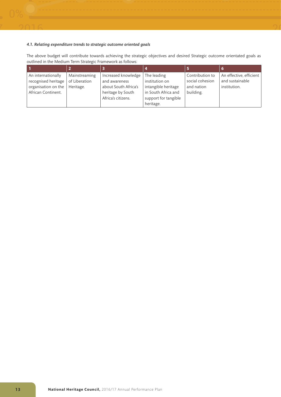# *4.1. Relating expenditure trends to strategic outcome oriented goals*

The above budget will contribute towards achieving the strategic objectives and desired Strategic outcome orientated goals as outlined in the Medium Term Strategic Framework as follows:

|                                           |                                |                                                                 |                                                                    |                                    | о                                          |
|-------------------------------------------|--------------------------------|-----------------------------------------------------------------|--------------------------------------------------------------------|------------------------------------|--------------------------------------------|
| An internationally<br>recognised heritage | Mainstreaming<br>of Liberation | Increased knowledge<br>and awareness                            | The leading<br>institution on                                      | Contribution to<br>social cohesion | An effective, efficient<br>and sustainable |
| organisation on the<br>African Continent. | Heritage.                      | about South Africa's<br>heritage by South<br>Africa's citizens. | intangible heritage<br>in South Africa and<br>support for tangible | and nation<br>building.            | institution.                               |
|                                           |                                |                                                                 | heritage.                                                          |                                    |                                            |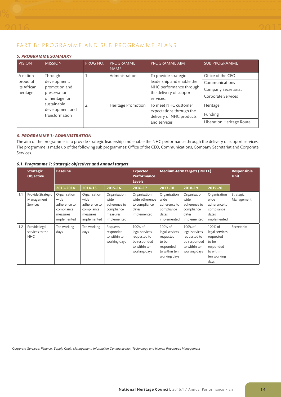# PART B: PROGRAMME AND SUB PROGRAMME PLANS

# *5. Programme Summary*

| <b>VISION</b>           | <b>MISSION</b>                 | PROG NO. | PROGRAMME<br><b>NAME</b> | PROGRAMME AIM                                        | <b>SUB PROGRAMME</b>      |
|-------------------------|--------------------------------|----------|--------------------------|------------------------------------------------------|---------------------------|
| A nation                | Through                        |          | Administration           | To provide strategic                                 | Office of the CEO         |
| proud of                | development,                   |          |                          | leadership and enable the                            | Communications            |
| its African<br>heritage | promotion and<br>preservation  |          |                          | NHC performance through<br>the delivery of support   | Company Secretariat       |
|                         | of heritage for                |          |                          | services.                                            | Corporate Services        |
|                         | sustainable<br>development and | 2.       | Heritage Promotion       | To meet NHC customer                                 | Heritage                  |
|                         | transformation                 |          |                          | expectations through the<br>delivery of NHC products | Funding                   |
|                         |                                |          |                          | and services                                         | Liberation Heritage Route |

# *6. Programme 1: Administration*

The aim of the programme is to provide strategic leadership and enable the NHC performance through the delivery of support services. The programme is made up of the following sub programmes: Office of the CEO, Communications, Company Secretariat and Corporate Services.

# *6.1. Programme 1: Strategic objectives and annual targets*

|     | <b>Strategic</b><br><b>Objective</b>           | <b>Baseline</b>                                                               |                                                                               |                                                                               | <b>Expected</b><br><b>Performance</b><br><b>Levels</b>                                     |                                                                                               | <b>Medium-term targets (MTEF)</b>                                                          |                                                                                                  | <b>Responsible</b><br><b>Unit</b> |
|-----|------------------------------------------------|-------------------------------------------------------------------------------|-------------------------------------------------------------------------------|-------------------------------------------------------------------------------|--------------------------------------------------------------------------------------------|-----------------------------------------------------------------------------------------------|--------------------------------------------------------------------------------------------|--------------------------------------------------------------------------------------------------|-----------------------------------|
|     |                                                | 2013-2014                                                                     | 2014-15                                                                       | 2015-16                                                                       | 2016-17                                                                                    | 2017-18                                                                                       | 2018-19                                                                                    | 2019-20                                                                                          |                                   |
| 1.1 | Provide Strategic<br>Management<br>Services    | Organisation<br>wide<br>adherence to<br>compliance<br>measures<br>implemented | Organisation<br>wide<br>adherence to<br>compliance<br>measures<br>implemented | Organisation<br>wide<br>adherence to<br>compliance<br>measures<br>implemented | Organisation<br>wide adherence<br>to compliance<br>dates<br>implemented                    | Organisation<br>wide<br>adherence to<br>compliance<br>dates<br>implemented                    | Organisation<br>wide<br>adherence to<br>compliance<br>dates<br>implemented                 | Organisation<br>wide<br>adherence to<br>compliance<br>dates<br>implemented                       | Strategic<br>Management           |
| 1.2 | Provide legal<br>services to the<br><b>NHC</b> | Ten working<br>days                                                           | Ten working<br>days                                                           | Requests<br>responded<br>to within ten<br>working days                        | 100% of<br>legal services<br>requested to<br>be responded<br>to within ten<br>working days | 100% of<br>legal services<br>requested<br>to be<br>responded<br>to within ten<br>working days | 100% of<br>legal services<br>requested to<br>be responded<br>to within ten<br>working days | 100% of<br>legal services<br>requested<br>to be<br>responded<br>to within<br>ten working<br>days | Secretariat                       |

*Corporate Services: Finance, Supply Chain Management, Information Communication Technology and Human Resources Management*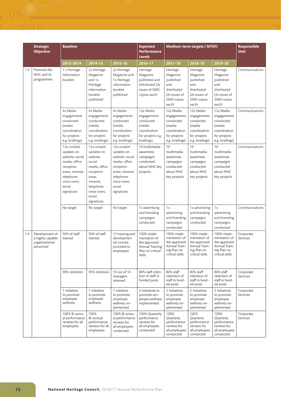|     | <b>Strategic</b><br><b>Objective</b>                              | <b>Baseline</b>                                                                                                                                    |                                                                                                                                                          |                                                                                                                                                    | <b>Expected</b><br><b>Performance</b><br>Levels                                                     |                                                                                                    | <b>Medium-term targets (MTEF)</b>                                                                  |                                                                                                    | <b>Responsible</b><br><b>Unit</b> |
|-----|-------------------------------------------------------------------|----------------------------------------------------------------------------------------------------------------------------------------------------|----------------------------------------------------------------------------------------------------------------------------------------------------------|----------------------------------------------------------------------------------------------------------------------------------------------------|-----------------------------------------------------------------------------------------------------|----------------------------------------------------------------------------------------------------|----------------------------------------------------------------------------------------------------|----------------------------------------------------------------------------------------------------|-----------------------------------|
|     |                                                                   | 2013-2014                                                                                                                                          | 2014-15                                                                                                                                                  | 2015-16                                                                                                                                            | 2016-17                                                                                             | 2017-18                                                                                            | 2018-19                                                                                            | 2019-20                                                                                            |                                   |
| 1.3 | Promote the<br>NHC and its<br>programmes                          | 1 x Heritage<br>information<br>booklet                                                                                                             | 2x Heritage<br>Magazine<br>and 1x<br>Heritage<br>information<br>booklet<br>published                                                                     | 2x Heritage<br>Magazine and<br>1x Heritage<br>information<br>booklet<br>published                                                                  | Heritage<br>Magazine<br>published and<br>distributed (2x<br>issues of 5000<br>copies each)          | Heritage<br>Magazine<br>published<br>and<br>distributed<br>(2x issues of<br>5000 copies<br>each)   | Heritage<br>Magazine<br>published<br>and<br>distributed<br>(2x issues of<br>5000 copies<br>each)   | Heritage<br>Magazine<br>published<br>and<br>distributed<br>(2x issues of<br>5000 copies<br>each)   | Communications                    |
|     |                                                                   | 4x Media<br>engagements<br>conducted<br>(media<br>coordination<br>for projects<br>e.g. briefings)                                                  | 4x Media<br>engagements<br>conducted<br>(media<br>coordination<br>for projects<br>e.g. briefings)                                                        | 4x Media<br>engagements<br>conducted<br>(media<br>coordination<br>for projects<br>e.g. briefings)                                                  | 12x Media<br>engagements<br>conducted<br>(media<br>coordination<br>for projects e.g.<br>briefings)  | 12x Media<br>engagements<br>conducted<br>(media<br>coordination<br>for projects<br>e.g. briefings) | 12x Media<br>engagements<br>conducted<br>(media<br>coordination<br>for projects<br>e.g. briefings) | 12x Media<br>engagements<br>conducted<br>(media<br>coordination<br>for projects<br>e.g. briefings) | Communications                    |
|     |                                                                   | 12x content<br>updates on<br>website, social<br>media, office<br>reception<br>areas, intranet,<br>telephone<br>voice overs,<br>email<br>signatures | 12x content<br>updates on<br>website,<br>social<br>media, office<br>reception<br>areas,<br>intranet,<br>telephone<br>voice overs,<br>email<br>signatures | 12x content<br>updates on<br>website, social<br>media, office<br>reception<br>areas, intranet,<br>telephone<br>voice overs,<br>email<br>signatures | 10 multimedia<br>awareness<br>campaigns<br>conducted<br>about NHC key<br>projects                   | 10<br>multimedia<br>awareness<br>campaigns<br>conducted<br>about NHC<br>key projects               | 10<br>multimedia<br>awareness<br>campaigns<br>conducted<br>about NHC<br>key projects               | 10<br>multimedia<br>awareness<br>campaigns<br>conducted<br>about NHC<br>key projects               | Communications                    |
|     |                                                                   | No target                                                                                                                                          | No target                                                                                                                                                | No target                                                                                                                                          | 1x advertising<br>and branding<br>campaigns<br>conducted                                            | 1x<br>advertising<br>and branding<br>campaigns<br>conducted                                        | 1x advertising<br>and branding<br>campaigns<br>conducted                                           | 1x<br>advertising<br>and branding<br>campaigns<br>conducted                                        | Communications                    |
| 1.4 | Development of<br>a highly capable<br>organisational<br>personnel | 50% of staff<br>trained                                                                                                                            | 50% of staff<br>trained                                                                                                                                  | 15 training and<br>developmen-<br>tal courses<br>provided to<br>employees                                                                          | 100% imple-<br>mentation of<br>the approved<br><b>Annual Training</b><br>Plan on critical<br>skills | 100% imple-<br>mentation of<br>the approved<br>Annual Train-<br>ing Plan on<br>critical skills     | 100% imple-<br>mentation of<br>the approved<br>Annual Train-<br>ing Plan on<br>critical skills     | 100% imple-<br>mentation of<br>the approved<br>Annual Train-<br>ing Plan on<br>critical skills     | Corporate<br>Services             |
|     |                                                                   | 90% retention                                                                                                                                      | 95% retention                                                                                                                                            | 10 out of 14<br>managers<br>retained                                                                                                               | 80% staff reten-<br>tion of staff in<br>funded posts                                                | 80% staff<br>retention of<br>staff in fund-<br>ed posts                                            | 80% staff<br>retention of<br>staff in fund-<br>ed posts                                            | 80% staff<br>retention of<br>staff in fund-<br>ed posts                                            | Corporate<br>Services             |
|     |                                                                   | 1 initiative<br>to promote<br>employee<br>wellness                                                                                                 | 1 initiative<br>to promote<br>employee<br>wellness                                                                                                       | 1 initiative<br>to promote<br>employee<br>wellness im-<br>plemented                                                                                | 2 initiatives to<br>promote em-<br>ployee wellness<br>implemented                                   | 2 initiatives<br>to promote<br>employee<br>wellness im-<br>plemented                               | 2 initiatives<br>to promote<br>employee<br>wellness im-<br>plemented                               | 2 initiatives<br>to promote<br>employee<br>wellness im-<br>plemented                               | Corporate<br>Services             |
|     |                                                                   | 100% Bi-annu-<br>al performance<br>reviews for all<br>employees                                                                                    | 100%<br>Bi-annual<br>performance<br>reviews for all<br>employees                                                                                         | 100% Bi-annu-<br>al performance<br>reviews for<br>all employees<br>conducted                                                                       | 100% Quarterly<br>performance<br>reviews for<br>all employees<br>conducted                          | 100%<br>Quarterly<br>performance<br>reviews for<br>all employees<br>conducted                      | 100%<br>Quarterly<br>performance<br>reviews for<br>all employees<br>conducted                      | 100%<br>Quarterly<br>performance<br>reviews for<br>all employees<br>conducted                      | Corporate<br>Services             |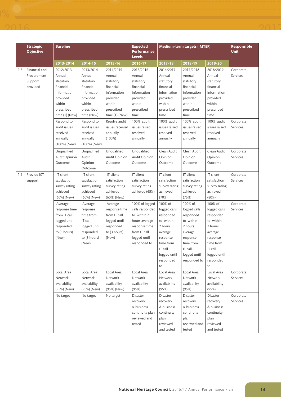|     | <b>Strategic</b><br><b>Objective</b>                | <b>Baseline</b>                                                                                                                                                            |                                                                                                                                                                      |                                                                                                                                                                                | <b>Expected</b><br><b>Performance</b><br><b>Levels</b>                                                                                                          |                                                                                                                                                                 | <b>Medium-term targets (MTEF)</b>                                                                                                                               |                                                                                                                                                                 | <b>Responsible</b><br><b>Unit</b>              |
|-----|-----------------------------------------------------|----------------------------------------------------------------------------------------------------------------------------------------------------------------------------|----------------------------------------------------------------------------------------------------------------------------------------------------------------------|--------------------------------------------------------------------------------------------------------------------------------------------------------------------------------|-----------------------------------------------------------------------------------------------------------------------------------------------------------------|-----------------------------------------------------------------------------------------------------------------------------------------------------------------|-----------------------------------------------------------------------------------------------------------------------------------------------------------------|-----------------------------------------------------------------------------------------------------------------------------------------------------------------|------------------------------------------------|
|     |                                                     | 2013-2014                                                                                                                                                                  | 2014-15                                                                                                                                                              | 2015-16                                                                                                                                                                        | 2016-17                                                                                                                                                         | 2017-18                                                                                                                                                         | 2018-19                                                                                                                                                         | 2019-20                                                                                                                                                         |                                                |
| 1.5 | Financial and<br>Procurement<br>Support<br>provided | 2012/2013<br>Annual<br>statutory<br>financial<br>information<br>provided<br>within<br>prescribed<br>time $(1)$ (New)<br>Respond to<br>audit issues<br>received<br>annually | 2013/2014<br>Annual<br>statutory<br>financial<br>information<br>provided<br>within<br>prescribed<br>time (New)<br>Respond to<br>audit issues<br>received<br>annually | 2014/2015<br>Annual<br>statutory<br>financial<br>information<br>provided<br>within<br>prescribed<br>time $(1)$ (New)<br>Resolve audit<br>issues received<br>annually<br>(100%) | 2015/2016<br>Annual<br>statutory<br>financial<br>information<br>provided<br>within<br>prescribed<br>time<br>100% audit<br>issues raised<br>resolved<br>annually | 2016/2017<br>Annual<br>statutory<br>financial<br>information<br>provided<br>within<br>prescribed<br>time<br>100% audit<br>issues raised<br>resolved<br>annually | 2017/2018<br>Annual<br>statutory<br>financial<br>information<br>provided<br>within<br>prescribed<br>time<br>100% audit<br>issues raised<br>resolved<br>annually | 2018/2019<br>Annual<br>statutory<br>financial<br>information<br>provided<br>within<br>prescribed<br>time<br>100% audit<br>issues raised<br>resolved<br>annually | Corporate<br>Services<br>Corporate<br>Services |
|     |                                                     | (100%) (New)<br>Unqualified<br>Audit Opinion<br>Outcome                                                                                                                    | (100%) (New)<br>Unqualified<br>Audit<br>Opinion<br>Outcome                                                                                                           | Unqualified<br>Audit Opinion<br>Outcome                                                                                                                                        | Unqualified<br>Audit Opinion<br>Outcome                                                                                                                         | Clean Audit<br>Opinion<br>Outcome                                                                                                                               | Clean Audit<br>Opinion<br>Outcome                                                                                                                               | Clean Audit<br>Opinion<br>Outcome                                                                                                                               | Corporate<br>Services                          |
| 1.6 | Provide ICT<br>support                              | IT client<br>satisfaction<br>survey rating<br>achieved<br>(60%) (New)                                                                                                      | IT client<br>satisfaction<br>survey rating<br>achieved<br>(60%) (New)                                                                                                | IT client<br>satisfaction<br>survey rating<br>achieved<br>(60%) (New)                                                                                                          | IT client<br>satisfaction<br>survey rating<br>achieved (65%)                                                                                                    | IT client<br>satisfaction<br>survey rating<br>achieved<br>(70%)                                                                                                 | IT client<br>satisfaction<br>survey rating<br>achieved<br>(75%)                                                                                                 | IT client<br>satisfaction<br>survey rating<br>achieved<br>(80%)                                                                                                 | Corporate<br>Services                          |
|     |                                                     | Average<br>response time<br>from IT call<br>logged until<br>responded<br>to (3 hours)<br>(New)                                                                             | Average<br>response<br>time from<br>IT call<br>logged until<br>responded<br>to (3 hours)<br>(New)                                                                    | Average<br>response time<br>from IT call<br>logged until<br>responded<br>to (3 hours)<br>(New)                                                                                 | 100% of logged<br>calls responded<br>to within 2<br>hours average<br>response time<br>from IT call<br>logged until<br>responded to                              | 100% of<br>logged calls<br>responded<br>to within<br>2 hours<br>average<br>response<br>time from<br>IT call<br>logged until<br>responded<br>to                  | 100% of<br>logged calls<br>responded<br>to within<br>2 hours<br>average<br>response<br>time from<br>IT call<br>logged until<br>responded to                     | 100% of<br>logged calls<br>responded<br>to within<br>2 hours<br>average<br>response<br>time from<br>IT call<br>logged until<br>responded<br>to                  | Corporate<br>Services                          |
|     |                                                     | Local Area<br>Network<br>availability<br>(95%) (New)<br>No target                                                                                                          | Local Area<br>Network<br>availability<br>(95%) (New)<br>No target                                                                                                    | Local Area<br>Network<br>availability<br>(95%) (New)<br>No target                                                                                                              | Local Area<br>Network<br>availability<br>(95%)<br>Disaster<br>recovery<br>& business<br>continuity plan<br>reviewed and<br>tested                               | Local Area<br>Network<br>availability<br>(95%)<br>Disaster<br>recovery<br>& business<br>continuity<br>plan<br>reviewed<br>and tested                            | Local Area<br>Network<br>availability<br>(95%)<br>Disaster<br>recovery<br>& business<br>continuity<br>plan<br>reviewed and<br>tested                            | Local Area<br>Network<br>availability<br>(95%)<br>Disaster<br>recovery<br>& business<br>continuity<br>plan<br>reviewed<br>and tested                            | Corporate<br>Services<br>Corporate<br>Services |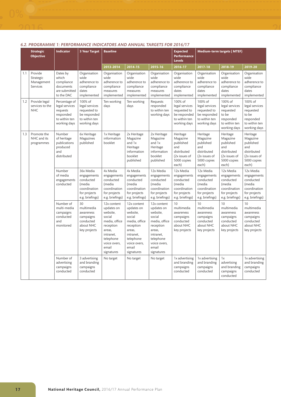|     | <b>Strategic</b><br><b>Objective</b>           | <b>Indicator</b>                                                                          | <b>3 Year Target</b>                                                                               | <b>Baseline</b>                                                                                                                                          |                                                                                                                                                          |                                                                                                                                                          | <b>Expected</b><br><b>Performance</b><br><b>Levels</b>                                             |                                                                                                    | <b>Medium-term targets (MTEF)</b>                                                                  |                                                                                                    |
|-----|------------------------------------------------|-------------------------------------------------------------------------------------------|----------------------------------------------------------------------------------------------------|----------------------------------------------------------------------------------------------------------------------------------------------------------|----------------------------------------------------------------------------------------------------------------------------------------------------------|----------------------------------------------------------------------------------------------------------------------------------------------------------|----------------------------------------------------------------------------------------------------|----------------------------------------------------------------------------------------------------|----------------------------------------------------------------------------------------------------|----------------------------------------------------------------------------------------------------|
|     |                                                |                                                                                           |                                                                                                    | 2013-2014                                                                                                                                                | 2014-15                                                                                                                                                  | 2015-16                                                                                                                                                  | 2016-17                                                                                            | 2017-18                                                                                            | 2018-19                                                                                            | 2019-20                                                                                            |
| 1.1 | Provide<br>Strategic<br>Management<br>Services | Dates by<br>which<br>compliance<br>documents<br>are submitted<br>to the DAC               | Organisation<br>wide<br>adherence to<br>compliance<br>dates<br>implemented                         | Organisation<br>wide<br>adherence to<br>compliance<br>measures<br>implemented                                                                            | Organisation<br>wide<br>adherence to<br>compliance<br>measures<br>implemented                                                                            | Organisation<br>wide<br>adherence to<br>compliance<br>measures<br>implemented                                                                            | Organisation<br>wide<br>adherence to<br>compliance<br>dates<br>implemented                         | Organisation<br>wide<br>adherence to<br>compliance<br>dates<br>implemented                         | Organisation<br>wide<br>adherence to<br>compliance<br>dates<br>implemented                         | Organisation<br>wide<br>adherence to<br>compliance<br>dates<br>implemented                         |
| 1.2 | Provide legal<br>services to the<br><b>NHC</b> | Percentage of<br>legal services<br>requests<br>responded<br>to within ten<br>working days | 100% of<br>legal services<br>requested to<br>be responded<br>to within ten<br>working days         | Ten working<br>days                                                                                                                                      | Ten working<br>days                                                                                                                                      | Requests<br>responded<br>to within ten<br>working days                                                                                                   | 100% of<br>legal services<br>requested to<br>be responded<br>to within ten<br>working days         | 100% of<br>legal services<br>requested to<br>be responded<br>to within ten<br>working days         | 100% of<br>legal services<br>requested<br>to be<br>responded<br>to within ten<br>working days      | 100% of<br>legal services<br>requested<br>to be<br>responded<br>to within ten<br>working days      |
| 1.3 | Promote the<br>NHC and its<br>programmes       | Number<br>of heritage<br>publications<br>produced<br>and<br>distributed                   | 6x Heritage<br>Magazines<br>published                                                              | 1x Heritage<br>information<br>booklet                                                                                                                    | 2x Heritage<br>Magazine<br>and 1x<br>Heritage<br>information<br>booklet<br>published                                                                     | 2x Heritage<br>Magazine<br>and 1x<br>Heritage<br>information<br>booklet<br>published                                                                     | Heritage<br>Magazine<br>published<br>and<br>distributed<br>(2x issues of<br>5000 copies<br>each)   | Heritage<br>Magazine<br>published<br>and<br>distributed<br>(2x issues of<br>5000 copies<br>each)   | Heritage<br>Magazine<br>published<br>and<br>distributed<br>(2x issues of<br>5000 copies<br>each)   | Heritage<br>Magazine<br>published<br>and<br>distributed<br>(2x issues of<br>5000 copies<br>each)   |
|     |                                                | Number<br>of media<br>engagements<br>conducted                                            | 36x Media<br>engagements<br>conducted<br>(media<br>coordination<br>for projects<br>e.g. briefings) | 4x Media<br>engagements<br>conducted<br>(media<br>coordination<br>for projects<br>e.g. briefings)                                                        | 4x Media<br>engagements<br>conducted<br>(media<br>coordination<br>for projects<br>e.g. briefings)                                                        | 12x Media<br>engagements<br>conducted<br>(media<br>coordination<br>for projects<br>e.g. briefings)                                                       | 12x Media<br>engagements<br>conducted<br>(media<br>coordination<br>for projects<br>e.g. briefings) | 12x Media<br>engagements<br>conducted<br>(media<br>coordination<br>for projects<br>e.g. briefings) | 12x Media<br>engagements<br>conducted<br>(media<br>coordination<br>for projects<br>e.g. briefings) | 12x Media<br>engagements<br>conducted<br>(media<br>coordination<br>for projects<br>e.g. briefings) |
|     |                                                | Number of<br>multi-media<br>campaigns<br>conducted<br>and<br>monitored                    | 30<br>multimedia<br>awareness<br>campaigns<br>conducted<br>about NHC<br>key projects               | 12x content<br>updates on<br>website.<br>social<br>media, office<br>reception<br>areas,<br>intranet,<br>telephone<br>voice overs,<br>email<br>signatures | 12x content<br>updates on<br>website.<br>social<br>media, office<br>reception<br>areas,<br>intranet.<br>telephone<br>voice overs,<br>email<br>signatures | 12x content<br>updates on<br>website.<br>social<br>media, office<br>reception<br>areas,<br>intranet,<br>telephone<br>voice overs,<br>email<br>signatures | 10<br>multimedia<br>awareness<br>campaigns<br>conducted<br>about NHC<br>key projects               | 10<br>multimedia<br>awareness<br>campaigns<br>conducted<br>about NHC<br>key projects               | 10<br>multimedia<br>awareness<br>campaigns<br>conducted<br>about NHC<br>key projects               | 10<br>multimedia<br>awareness<br>campaigns<br>conducted<br>about NHC<br>key projects               |
|     |                                                | Number of<br>advertising<br>campaigns<br>conducted                                        | 3 advertising<br>and branding<br>campaigns<br>conducted                                            | No target                                                                                                                                                | No target                                                                                                                                                | No target                                                                                                                                                | 1x advertising<br>and branding<br>campaigns<br>conducted                                           | 1x advertising<br>and branding<br>campaigns<br>conducted                                           | 1x<br>advertising<br>and branding<br>campaigns<br>conducted                                        | 1x advertising<br>and branding<br>campaigns<br>conducted                                           |

# *6.2. Programme 1: Performance indicators and annual targets for 2016/17*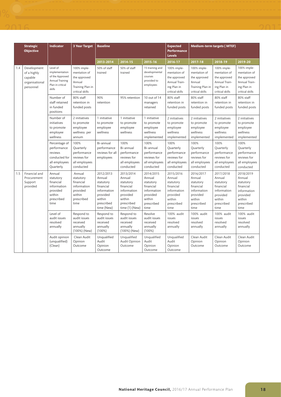|     | <b>Strategic</b><br><b>Objective</b>                                 | <b>Indicator</b>                                                                                      | <b>3 Year Target</b>                                                                         | <b>Baseline</b>                                                                                                |                                                                                                                     |                                                                                                          | <b>Expected</b><br><b>Performance</b><br><b>Levels</b>                                                   |                                                                                                          | <b>Medium-term targets (MTEF)</b>                                                                        |                                                                                                          |
|-----|----------------------------------------------------------------------|-------------------------------------------------------------------------------------------------------|----------------------------------------------------------------------------------------------|----------------------------------------------------------------------------------------------------------------|---------------------------------------------------------------------------------------------------------------------|----------------------------------------------------------------------------------------------------------|----------------------------------------------------------------------------------------------------------|----------------------------------------------------------------------------------------------------------|----------------------------------------------------------------------------------------------------------|----------------------------------------------------------------------------------------------------------|
|     |                                                                      |                                                                                                       |                                                                                              | 2013-2014                                                                                                      | 2014-15                                                                                                             | 2015-16                                                                                                  | 2016-17                                                                                                  | 2017-18                                                                                                  | 2018-19                                                                                                  | 2019-20                                                                                                  |
| 1.4 | Development<br>of a highly<br>capable<br>organisational<br>personnel | Level of<br>implementation<br>of the Approved<br><b>Annual Training</b><br>Plan in critical<br>skills | 100% imple-<br>mentation of<br>the approved<br>Annual<br>Training Plan in<br>critical skills | 50% of staff<br>trained                                                                                        | 50% of staff<br>trained                                                                                             | 15 training and<br>developmental<br>courses<br>provided to<br>employees                                  | 100% imple-<br>mentation of<br>the approved<br>Annual Train-<br>ing Plan in<br>critical skills           | 100% imple-<br>mentation of<br>the approved<br>Annual<br>Training Plan in<br>critical skills             | 100% imple-<br>mentation of<br>the approved<br>Annual Train-<br>ing Plan in<br>critical skills           | 100% imple-<br>mentation of<br>the approved<br>Annual Train-<br>ing Plan in<br>critical skills           |
|     |                                                                      | Number of<br>staff retained<br>in funded<br>positions                                                 | 80% staff<br>retention in<br>funded posts                                                    | 90%<br>retention                                                                                               | 95% retention                                                                                                       | 10 out of 14<br>managers<br>retained                                                                     | 80% staff<br>retention in<br>funded posts                                                                | 80% staff<br>retention in<br>funded posts                                                                | 80% staff<br>retention in<br>funded posts                                                                | 80% staff<br>retention in<br>funded posts                                                                |
|     |                                                                      | Number of<br>initiatives<br>to promote<br>employee<br>wellness                                        | 2 initiatives<br>to promote<br>employee<br>wellness per<br>annum                             | 1 initiative<br>to promote<br>employee<br>wellness                                                             | 1 initiative<br>to promote<br>employee<br>wellness                                                                  | 1 initiative<br>to promote<br>employee<br>wellness<br>implemented                                        | 2 initiatives<br>to promote<br>employee<br>wellness<br>implemented                                       | 2 initiatives<br>to promote<br>employee<br>wellness<br>implemented                                       | 2 initiatives<br>to promote<br>employee<br>wellness<br>implemented                                       | 2 initiatives<br>to promote<br>employee<br>wellness<br>implemented                                       |
|     |                                                                      | Percentage of<br>performance<br>reviews<br>conducted for<br>all employees<br>Quarterly.               | 100%<br>Quarterly<br>performance<br>reviews for<br>all employees<br>conducted                | Bi-annual<br>performance<br>reviews for all<br>employees                                                       | 100%<br>Bi-annual<br>performance<br>reviews for<br>all employees<br>conducted                                       | 100%<br>Bi-annual<br>performance<br>reviews for<br>all employees<br>conducted                            | 100%<br>Quarterly<br>performance<br>reviews for<br>all employees<br>conducted                            | 100%<br>Quarterly<br>performance<br>reviews for<br>all employees<br>conducted                            | 100%<br>Quarterly<br>performance<br>reviews for<br>all employees<br>conducted                            | 100%<br>Quarterly<br>performance<br>reviews for<br>all employees<br>conducted                            |
| 1.5 | Financial and<br>Procurement<br>Support<br>provided                  | Annual<br>statutory<br>financial<br>information<br>provided<br>within<br>prescribed<br>time           | Annual<br>statutory<br>financial<br>information<br>provided<br>within<br>prescribed<br>time  | 2012/2013<br>Annual<br>statutory<br>financial<br>information<br>provided<br>within<br>prescribed<br>time (New) | 2013/2014<br>Annual<br>statutory<br>financial<br>information<br>provided<br>within<br>prescribed<br>$time(1)$ (New) | 2014/2015<br>Annual<br>statutory<br>financial<br>information<br>provided<br>within<br>prescribed<br>time | 2015/2016<br>Annual<br>statutory<br>financial<br>information<br>provided<br>within<br>prescribed<br>time | 2016/2017<br>Annual<br>statutory<br>financial<br>information<br>provided<br>within<br>prescribed<br>time | 2017/2018<br>Annual<br>statutory<br>financial<br>information<br>provided<br>within<br>prescribed<br>time | 2018/2019<br>Annual<br>statutory<br>financial<br>information<br>provided<br>within<br>prescribed<br>time |
|     |                                                                      | Level of<br>audit issues<br>resolved<br>annually                                                      | Respond to<br>audit issues<br>received<br>annually<br>(100%) (New)                           | Respond to<br>audit issues<br>received<br>annually<br>$(100\%)$                                                | Respond to<br>audit issues<br>received<br>annually<br>(100%) (New)                                                  | Resolve<br>audit issues<br>received<br>annually<br>(100%)                                                | 100% audit<br>issues<br>resolved<br>annually                                                             | 100% audit<br>issues<br>resolved<br>annually                                                             | 100% audit<br>issues<br>resolved<br>annually                                                             | 100% audit<br>issues<br>resolved<br>annually                                                             |
|     |                                                                      | Audit opinion<br>(unqualified)<br>(Clean)                                                             | Clean Audit<br>Opinion<br>Outcome                                                            | Unqualified<br>Audit<br>Opinion<br>Outcome                                                                     | Ungualified<br><b>Audit Opinion</b><br>Outcome                                                                      | Unqualified<br>Audit<br>Opinion<br>Outcome                                                               | Unqualified<br>Audit<br>Opinion<br>Outcome                                                               | Clean Audit<br>Opinion<br>Outcome                                                                        | Clean Audit<br>Opinion<br>Outcome                                                                        | Clean Audit<br>Opinion<br>Outcome                                                                        |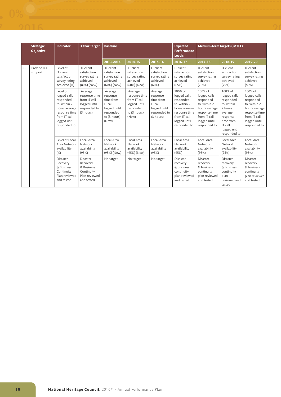|     | <b>Strategic</b><br><b>Objective</b> | <b>Indicator</b>                                                                                                                       | <b>3 Year Target</b>                                                                   | <b>Baseline</b>                                                                                   |                                                                                                |                                                                                          | <b>Expected</b><br><b>Performance</b><br><b>Levels</b>                                                                                |                                                                                                                                       | <b>Medium-term targets (MTEF)</b>                                                                                                           |                                                                                                                                       |
|-----|--------------------------------------|----------------------------------------------------------------------------------------------------------------------------------------|----------------------------------------------------------------------------------------|---------------------------------------------------------------------------------------------------|------------------------------------------------------------------------------------------------|------------------------------------------------------------------------------------------|---------------------------------------------------------------------------------------------------------------------------------------|---------------------------------------------------------------------------------------------------------------------------------------|---------------------------------------------------------------------------------------------------------------------------------------------|---------------------------------------------------------------------------------------------------------------------------------------|
|     |                                      |                                                                                                                                        |                                                                                        | 2013-2014                                                                                         | 2014-15                                                                                        | 2015-16                                                                                  | 2016-17                                                                                                                               | 2017-18                                                                                                                               | 2018-19                                                                                                                                     | 2019-20                                                                                                                               |
| 1.6 | Provide ICT<br>support               | Level of<br>IT client<br>satisfaction<br>survey rating<br>achieved (%)                                                                 | IT client<br>satisfaction<br>survey rating<br>achieved<br>(80%) (New)                  | IT client<br>satisfaction<br>survey rating<br>achieved<br>(60%) (New)                             | IT client<br>satisfaction<br>survey rating<br>achieved<br>(60%) (New)                          | IT client<br>satisfaction<br>survey rating<br>achieved<br>(60%)                          | IT client<br>satisfaction<br>survey rating<br>achieved<br>(65%)                                                                       | IT client<br>satisfaction<br>survey rating<br>achieved<br>(70%)                                                                       | IT client<br>satisfaction<br>survey rating<br>achieved<br>(75%)                                                                             | IT client<br>satisfaction<br>survey rating<br>achieved<br>(80%)                                                                       |
|     |                                      | Level of<br>logged calls<br>responded<br>to within 2<br>hours average<br>response time<br>from IT call<br>logged until<br>responded to | Average<br>response time<br>from IT call<br>logged until<br>responded to<br>(3 hours)  | Average<br>response<br>time from<br>IT call<br>logged until<br>responded<br>to (3 hours)<br>(New) | Average<br>response time<br>from IT call<br>logged until<br>responded<br>to (3 hours)<br>(New) | Average<br>response<br>time from<br>IT call<br>logged until<br>responded to<br>(3 hours) | 100% of<br>logged calls<br>responded<br>to within 2<br>hours average<br>response time<br>from IT call<br>logged until<br>responded to | 100% of<br>logged calls<br>responded<br>to within 2<br>hours average<br>response time<br>from IT call<br>logged until<br>responded to | 100% of<br>logged calls<br>responded<br>to within<br>2 hours<br>average<br>response<br>time from<br>IT call<br>logged until<br>responded to | 100% of<br>logged calls<br>responded<br>to within 2<br>hours average<br>response time<br>from IT call<br>logged until<br>responded to |
|     |                                      | Level of Local<br>Area Network<br>availability<br>$(\%)$                                                                               | Local Area<br>Network<br>availability<br>(95%)                                         | Local Area<br>Network<br>availability<br>(95%) (New)                                              | Local Area<br>Network<br>availability<br>(95%) (New)                                           | Local Area<br>Network<br>availability<br>(95%)                                           | Local Area<br>Network<br>availability<br>(95%)                                                                                        | Local Area<br>Network<br>availability<br>(95%)                                                                                        | Local Area<br>Network<br>availability<br>(95%)                                                                                              | Local Area<br>Network<br>availability<br>(95%)                                                                                        |
|     |                                      | <b>Disaster</b><br>Recovery<br>& Business<br>Continuity<br>Plan reviewed<br>and tested                                                 | <b>Disaster</b><br>Recovery<br>& Business<br>Continuity<br>Plan reviewed<br>and tested | No target                                                                                         | No target                                                                                      | No target                                                                                | <b>Disaster</b><br>recovery<br>& business<br>continuity<br>plan reviewed<br>and tested                                                | <b>Disaster</b><br>recovery<br>& business<br>continuity<br>plan reviewed<br>and tested                                                | <b>Disaster</b><br>recovery<br>& business<br>continuity<br>plan<br>reviewed and<br>tested                                                   | <b>Disaster</b><br>recovery<br>& business<br>continuity<br>plan reviewed<br>and tested                                                |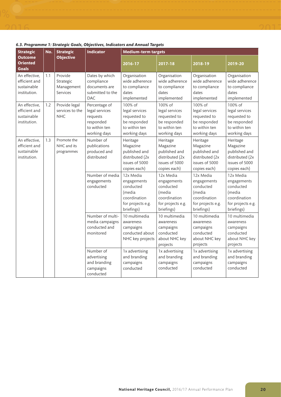| <b>Strategic</b>                                              | No. | <b>Strategic</b>                                      | <b>Indicator</b>                                                                          | <b>Medium-term targets</b>                                                                         |                                                                                                    |                                                                                                    |                                                                                                    |
|---------------------------------------------------------------|-----|-------------------------------------------------------|-------------------------------------------------------------------------------------------|----------------------------------------------------------------------------------------------------|----------------------------------------------------------------------------------------------------|----------------------------------------------------------------------------------------------------|----------------------------------------------------------------------------------------------------|
| <b>Outcome</b><br><b>Oriented</b><br><b>Goals</b>             |     | <b>Objective</b>                                      |                                                                                           | 2016-17                                                                                            | 2017-18                                                                                            | 2018-19                                                                                            | 2019-20                                                                                            |
| An effective,<br>efficient and<br>sustainable<br>institution. | 1.1 | Provide<br>Strategic<br>Management<br><b>Services</b> | Dates by which<br>compliance<br>documents are<br>submitted to the<br><b>DAC</b>           | Organisation<br>wide adherence<br>to compliance<br>dates<br>implemented                            | Organisation<br>wide adherence<br>to compliance<br>dates<br>implemented                            | Organisation<br>wide adherence<br>to compliance<br>dates<br>implemented                            | Organisation<br>wide adherence<br>to compliance<br>dates<br>implemented                            |
| An effective.<br>efficient and<br>sustainable<br>institution. | 1.2 | Provide legal<br>services to the<br><b>NHC</b>        | Percentage of<br>legal services<br>requests<br>responded<br>to within ten<br>working days | 100% of<br>legal services<br>requested to<br>be responded<br>to within ten<br>working days         | 100% of<br>legal services<br>requested to<br>be responded<br>to within ten<br>working days         | 100% of<br>legal services<br>requested to<br>be responded<br>to within ten<br>working days         | 100% of<br>legal services<br>requested to<br>be responded<br>to within ten<br>working days         |
| An effective,<br>efficient and<br>sustainable<br>institution. | 1.3 | Promote the<br>NHC and its<br>programmes              | Number of<br>publications<br>produced and<br>distributed                                  | Heritage<br>Magazine<br>published and<br>distributed (2x<br>issues of 5000<br>copies each)         | Heritage<br>Magazine<br>published and<br>distributed (2x<br>issues of 5000<br>copies each)         | Heritage<br>Magazine<br>published and<br>distributed (2x<br>issues of 5000<br>copies each)         | Heritage<br>Magazine<br>published and<br>distributed (2x<br>issues of 5000<br>copies each)         |
|                                                               |     |                                                       | Number of media<br>engagements<br>conducted                                               | 12x Media<br>engagements<br>conducted<br>(media<br>coordination<br>for projects e.g.<br>briefings) | 12x Media<br>engagements<br>conducted<br>(media<br>coordination<br>for projects e.g.<br>briefings) | 12x Media<br>engagements<br>conducted<br>(media<br>coordination<br>for projects e.g.<br>briefings) | 12x Media<br>engagements<br>conducted<br>(media<br>coordination<br>for projects e.g.<br>briefings) |
|                                                               |     |                                                       | Number of multi-<br>media campaigns<br>conducted and<br>monitored                         | 10 multimedia<br>awareness<br>campaigns<br>conducted about<br>NHC key projects                     | 10 multimedia<br>awareness<br>campaigns<br>conducted<br>about NHC key<br>projects                  | 10 multimedia<br>awareness<br>campaigns<br>conducted<br>about NHC key<br>projects                  | 10 multimedia<br>awareness<br>campaigns<br>conducted<br>about NHC key<br>projects                  |
|                                                               |     |                                                       | Number of<br>advertising<br>and branding<br>campaigns<br>conducted                        | 1x advertising<br>and branding<br>campaigns<br>conducted                                           | 1x advertising<br>and branding<br>campaigns<br>conducted                                           | 1x advertising<br>and branding<br>campaigns<br>conducted                                           | 1x advertising<br>and branding<br>campaigns<br>conducted                                           |

# *6.3. Programme 1: Strategic Goals, Objectives, Indicators and Annual Targets*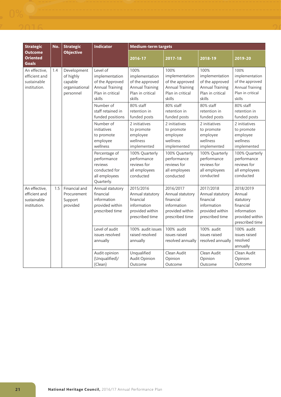| <b>Strategic</b>                                              | No. | <b>Strategic</b>                                                   | <b>Indicator</b>                                                                                                                                                              | <b>Medium-term targets</b>                                                                                                                                       |                                                                                                                                                                  |                                                                                                                                                                  |                                                                                                                                                                  |
|---------------------------------------------------------------|-----|--------------------------------------------------------------------|-------------------------------------------------------------------------------------------------------------------------------------------------------------------------------|------------------------------------------------------------------------------------------------------------------------------------------------------------------|------------------------------------------------------------------------------------------------------------------------------------------------------------------|------------------------------------------------------------------------------------------------------------------------------------------------------------------|------------------------------------------------------------------------------------------------------------------------------------------------------------------|
| <b>Outcome</b><br><b>Oriented</b><br><b>Goals</b>             |     | <b>Objective</b>                                                   |                                                                                                                                                                               | 2016-17                                                                                                                                                          | 2017-18                                                                                                                                                          | 2018-19                                                                                                                                                          | 2019-20                                                                                                                                                          |
| An effective,<br>efficient and<br>sustainable<br>institution. | 1.4 | Development<br>of highly<br>capable<br>organisational<br>personnel | Level of<br>implementation<br>of the Approved<br><b>Annual Training</b><br>Plan in critical<br>skills<br>Number of<br>staff retained in                                       | 100%<br>implementation<br>of the approved<br><b>Annual Training</b><br>Plan in critical<br>skills<br>80% staff<br>retention in                                   | 100%<br>implementation<br>of the approved<br><b>Annual Training</b><br>Plan in critical<br>skills<br>80% staff<br>retention in                                   | 100%<br>implementation<br>of the approved<br><b>Annual Training</b><br>Plan in critical<br>skills<br>80% staff<br>retention in                                   | 100%<br>implementation<br>of the approved<br><b>Annual Training</b><br>Plan in critical<br>skills<br>80% staff<br>retention in                                   |
|                                                               |     |                                                                    | funded positions<br>Number of<br>initiatives<br>to promote<br>employee<br>wellness<br>Percentage of<br>performance<br>reviews<br>conducted for<br>all employees<br>Quarterly. | funded posts<br>2 initiatives<br>to promote<br>employee<br>wellness<br>implemented<br>100% Quarterly<br>performance<br>reviews for<br>all employees<br>conducted | funded posts<br>2 initiatives<br>to promote<br>employee<br>wellness<br>implemented<br>100% Quarterly<br>performance<br>reviews for<br>all employees<br>conducted | funded posts<br>2 initiatives<br>to promote<br>employee<br>wellness<br>implemented<br>100% Quarterly<br>performance<br>reviews for<br>all employees<br>conducted | funded posts<br>2 initiatives<br>to promote<br>employee<br>wellness<br>implemented<br>100% Quarterly<br>performance<br>reviews for<br>all employees<br>conducted |
| An effective,<br>efficient and<br>sustainable<br>institution. | 1.5 | Financial and<br>Procurement<br>Support<br>provided                | Annual statutory<br>financial<br>information<br>provided within<br>prescribed time<br>Level of audit                                                                          | 2015/2016<br>Annual statutory<br>financial<br>information<br>provided within<br>prescribed time                                                                  | 2016/2017<br>Annual statutory<br>financial<br>information<br>provided within<br>prescribed time<br>100% audit                                                    | 2017/2018<br>Annual statutory<br>financial<br>information<br>provided within<br>prescribed time<br>100% audit                                                    | 2018/2019<br>Annual<br>statutory<br>financial<br>information<br>provided within<br>prescribed time<br>100% audit                                                 |
|                                                               |     |                                                                    | issues resolved<br>annually                                                                                                                                                   | 100% audit issues<br>raised resolved<br>annually                                                                                                                 | issues raised<br>resolved annually                                                                                                                               | issues raised<br>resolved annually                                                                                                                               | issues raised<br>resolved<br>annually                                                                                                                            |
|                                                               |     |                                                                    | Audit opinion<br>(Unqualified)/<br>(Clean)                                                                                                                                    | Unqualified<br><b>Audit Opinion</b><br>Outcome                                                                                                                   | Clean Audit<br>Opinion<br>Outcome                                                                                                                                | Clean Audit<br>Opinion<br>Outcome                                                                                                                                | Clean Audit<br>Opinion<br>Outcome                                                                                                                                |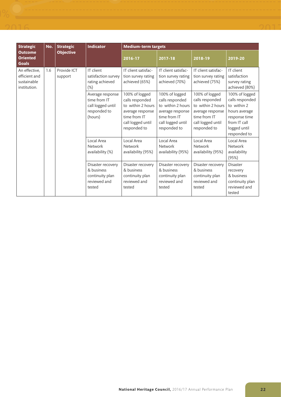| <b>Strategic</b>                                              | No. | <b>Strategic</b>       | <b>Indicator</b>                                                                 | <b>Medium-term targets</b>                                                                                                      |                                                                                                                                 |                                                                                                                                 |                                                                                                                                    |
|---------------------------------------------------------------|-----|------------------------|----------------------------------------------------------------------------------|---------------------------------------------------------------------------------------------------------------------------------|---------------------------------------------------------------------------------------------------------------------------------|---------------------------------------------------------------------------------------------------------------------------------|------------------------------------------------------------------------------------------------------------------------------------|
| <b>Outcome</b><br><b>Oriented</b><br><b>Goals</b>             |     | <b>Objective</b>       |                                                                                  | 2016-17                                                                                                                         | 2017-18                                                                                                                         | 2018-19                                                                                                                         | 2019-20                                                                                                                            |
| An effective,<br>efficient and<br>sustainable<br>institution. | 1.6 | Provide ICT<br>support | IT client<br>satisfaction survey<br>rating achieved<br>$(\%)$                    | IT client satisfac-<br>tion survey rating<br>achieved (65%)                                                                     | IT client satisfac-<br>tion survey rating<br>achieved (70%)                                                                     | IT client satisfac-<br>tion survey rating<br>achieved (75%)                                                                     | IT client<br>satisfaction<br>survey rating<br>achieved (80%)                                                                       |
|                                                               |     |                        | Average response<br>time from IT<br>call logged until<br>responded to<br>(hours) | 100% of logged<br>calls responded<br>to within 2 hours<br>average response<br>time from IT<br>call logged until<br>responded to | 100% of logged<br>calls responded<br>to within 2 hours<br>average response<br>time from IT<br>call logged until<br>responded to | 100% of logged<br>calls responded<br>to within 2 hours<br>average response<br>time from IT<br>call logged until<br>responded to | 100% of logged<br>calls responded<br>to within 2<br>hours average<br>response time<br>from IT call<br>logged until<br>responded to |
|                                                               |     |                        | Local Area<br>Network<br>availability (%)                                        | Local Area<br>Network<br>availability (95%)                                                                                     | Local Area<br>Network<br>availability (95%)                                                                                     | Local Area<br>Network<br>availability (95%)                                                                                     | Local Area<br>Network<br>availability<br>(95%)                                                                                     |
|                                                               |     |                        | Disaster recovery<br>& business<br>continuity plan<br>reviewed and<br>tested     | Disaster recovery<br>& business<br>continuity plan<br>reviewed and<br>tested                                                    | Disaster recovery<br>& business<br>continuity plan<br>reviewed and<br>tested                                                    | Disaster recovery<br>& business<br>continuity plan<br>reviewed and<br>tested                                                    | <b>Disaster</b><br>recovery<br>& business<br>continuity plan<br>reviewed and<br>tested                                             |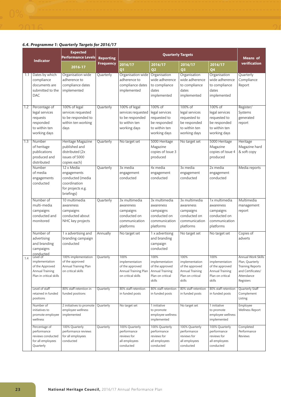|     | <b>Indicator</b>                                                                                                | <b>Expected</b><br>Performance Levels                                                            | <b>Reporting</b> |                                                                                         | <b>Quarterly Targets</b>                                                                          |                                                                                            |                                                                                                   | <b>Means</b> of                                                                                                         |
|-----|-----------------------------------------------------------------------------------------------------------------|--------------------------------------------------------------------------------------------------|------------------|-----------------------------------------------------------------------------------------|---------------------------------------------------------------------------------------------------|--------------------------------------------------------------------------------------------|---------------------------------------------------------------------------------------------------|-------------------------------------------------------------------------------------------------------------------------|
|     |                                                                                                                 | 2016-17                                                                                          | <b>Frequency</b> | 2016/17<br>Q1                                                                           | 2016/17<br>Q <sub>2</sub>                                                                         | 2016/17<br>Q <sub>3</sub>                                                                  | 2016/17<br>Q4                                                                                     | verification                                                                                                            |
| 1.1 | Dates by which<br>compliance<br>documents are<br>submitted to the<br><b>DAC</b>                                 | Organisation wide<br>adherence to<br>compliance dates<br>implemented                             | Quarterly        | Organisation wide<br>adherence to<br>compliance dates<br>implemented                    | Organisation<br>wide adherence<br>to compliance<br>dates<br>implemented                           | Organisation<br>wide adherence<br>to compliance<br>dates<br>implemented                    | Organisation<br>wide adherence<br>to compliance<br>dates<br>implemented                           | Quarterly<br>Compliance<br>Report                                                                                       |
| 1.2 | Percentage of<br>legal services<br>requests<br>responded<br>to within ten<br>working days                       | 100% of legal<br>services requested<br>to be responded to<br>within ten working<br>days          | Quarterly        | 100% of legal<br>services requested<br>to be responded<br>to within ten<br>working days | 100% of<br>legal services<br>requested to<br>be responded<br>to within ten<br>working days        | 100% of<br>legal services<br>requested to<br>be responded<br>to within ten<br>working days | 100% of<br>legal services<br>requested to<br>be responded<br>to within ten<br>working days        | Register/<br>Systems<br>generated<br>report                                                                             |
| 1.3 | Number<br>of heritage<br>publications<br>produced and<br>distributed                                            | Heritage Magazine<br>published and<br>distributed (2x<br>issues of 5000<br>copies each)          | Quarterly        | No target set                                                                           | 5000 Heritage<br>Magazine<br>copies of Issue 3<br>produced                                        | No target set                                                                              | 5000 Heritage<br>Magazine<br>copies of Issue 4<br>produced                                        | Heritage<br>Magazine hard<br>& soft copy                                                                                |
|     | Number<br>of media<br>engagements<br>conducted                                                                  | 12 x Media<br>engagements<br>conducted (media<br>coordination<br>for projects e.g.<br>briefings) | Quarterly        | 3x media<br>engagement<br>conducted                                                     | 4x media<br>engagement<br>conducted                                                               | 3x media<br>engagement<br>conducted                                                        | 2x media<br>engagement<br>conducted                                                               | Media reports                                                                                                           |
|     | Number of<br>multi-media<br>campaigns<br>conducted and<br>monitored                                             | 10 multimedia<br>awareness<br>campaigns<br>conducted about<br>NHC key projects                   | Quarterly        | 3x multimedia<br>awareness<br>campaigns<br>conducted on<br>communication<br>platforms   | 3x multimedia<br>awareness<br>campaigns<br>conducted on<br>communication<br>platforms             | 3x multimedia<br>awareness<br>campaigns<br>conducted on<br>communication<br>platforms      | 1x multimedia<br>awareness<br>campaigns<br>conducted on<br>communication<br>platforms             | Multimedia<br>management<br>report                                                                                      |
|     | Number of<br>advertising<br>and branding<br>campaigns                                                           | 1 x advertising and<br>branding campaign<br>conducted                                            | Annually         | No target set                                                                           | 1 x advertising<br>and branding<br>campaign<br>conducted                                          | No target set                                                                              | No target set                                                                                     | Copies of<br>adverts                                                                                                    |
| 1.4 | conducted<br>Level of<br>implementation<br>of the Approved<br><b>Annual Training</b><br>Plan in critical skills | 100% implementation<br>of the approved<br>Annual Training Plan<br>on critical skills             | Quarterly        | 100%<br>implementation<br>of the approved<br>Annual Training Plan<br>on critical skills | 100%<br>implementation<br>of the approved<br><b>Annual Training</b><br>Plan on critical<br>skills | 100%<br>implementation<br>of the approved<br>Annual Training<br>Plan on critical<br>skills | 100%<br>implementation<br>of the approved<br><b>Annual Training</b><br>Plan on critical<br>skills | <b>Annual Work Skills</b><br>Plan, Quarterly<br><b>Training Reports</b><br>and Certificates/<br>Attendance<br>Registers |
|     | Level of staff<br>retained in funded<br>positions                                                               | 80% staff retention in<br>funded positions                                                       | Quarterly        | 80% staff retention<br>in funded posts                                                  | 80% staff retention<br>in funded posts                                                            | 80% staff retention<br>in funded posts                                                     | 80% staff retention<br>in funded posts                                                            | Quarterly Staff<br>Complement<br>Listing                                                                                |
|     | Number of<br>initiatives to<br>promote employee<br>wellness                                                     | 2 initiatives to promote<br>employee wellness<br>implemented                                     | Quarterly        | No target set                                                                           | 1 initiative<br>to promote<br>employee wellness<br>implemented                                    | No target set                                                                              | 1 initiative<br>to promote<br>employee wellness<br>implemented                                    | Employee<br>Wellness Report                                                                                             |
|     | Percentage of<br>performance<br>reviews conducted<br>for all employees<br>Quarterly                             | 100% Quarterly<br>performance reviews<br>for all employees<br>conducted                          | Quarterly        | 100% Quarterly<br>performance<br>reviews for<br>all employees<br>conducted              | 100% Quarterly<br>performance<br>reviews for<br>all employees<br>conducted                        | 100% Quarterly<br>performance<br>reviews for<br>all employees<br>conducted                 | 100% Quarterly<br>performance<br>reviews for<br>all employees<br>conducted                        | Completed<br>Performance<br>Reviews                                                                                     |

# *6.4. Programme 1: Quarterly Targets for 2016/17*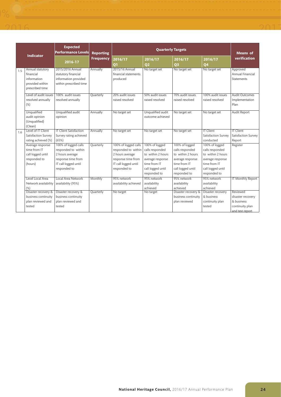|     | <b>Indicator</b>                                                                   | <b>Expected</b><br><b>Performance Levels</b>                                                                                 | <b>Reporting</b><br><b>Frequency</b> |                                                                                                                              | <b>Quarterly Targets</b>                                                                                                        |                                                                                                                                 |                                                                                                                                 | <b>Means</b> of<br>verification                                                   |
|-----|------------------------------------------------------------------------------------|------------------------------------------------------------------------------------------------------------------------------|--------------------------------------|------------------------------------------------------------------------------------------------------------------------------|---------------------------------------------------------------------------------------------------------------------------------|---------------------------------------------------------------------------------------------------------------------------------|---------------------------------------------------------------------------------------------------------------------------------|-----------------------------------------------------------------------------------|
|     |                                                                                    | 2016-17                                                                                                                      |                                      | 2016/17<br>Q <sub>1</sub>                                                                                                    | 2016/17<br><b>Q2</b>                                                                                                            | 2016/17<br>O <sub>3</sub>                                                                                                       | 2016/17<br>Q4                                                                                                                   |                                                                                   |
| 1.5 | Annual statutory<br>financial<br>information<br>provided within<br>prescribed time | 2015/2016 Annual<br>statutory financial<br>information provided<br>within prescribed time                                    | Annually                             | 2015/16 Annual<br>financial statements<br>produced                                                                           | No target set                                                                                                                   | No target set                                                                                                                   | No target set                                                                                                                   | Approved<br>Annual Financial<br>Statements                                        |
|     | Level of audit issues<br>resolved annually<br>(% )                                 | 100% audit issues<br>resolved annually                                                                                       | Quarterly                            | 20% audit issues<br>raised resolved                                                                                          | 50% audit issues<br>raised resolved                                                                                             | 70% audit issues<br>raised resolved                                                                                             | 100% audit issues<br>raised resolved                                                                                            | <b>Audit Outcomes</b><br>Implementation<br>Plan                                   |
|     | Unqualified<br>audit opinion<br>(Unqualified)<br>(Clean)                           | Unqualified audit<br>opinion                                                                                                 | Annually                             | No target set                                                                                                                | <b>Unqualified audit</b><br>outcome achieved                                                                                    | No target set                                                                                                                   | No target set                                                                                                                   | <b>Audit Report</b>                                                               |
| 1.6 | Level of IT Client<br>Satisfaction Survey<br>rating achieved (%)                   | <b>IT Client Satisfaction</b><br>Survey rating achieved<br>(65%)                                                             | Annually                             | No target set                                                                                                                | No target set                                                                                                                   | No target set                                                                                                                   | <b>IT Client</b><br>Satisfaction Survey<br>conducted                                                                            | <b>IT Client</b><br>Satisfaction Survey<br>Report                                 |
|     | Average response<br>time from IT<br>call logged until<br>responded to<br>(hours)   | 100% of logged calls<br>responded to within<br>2 hours average<br>response time from<br>IT call logged until<br>responded to | Quarterly                            | 100% of logged calls<br>responded to within<br>2 hours average<br>response time from<br>IT call logged until<br>responded to | 100% of logged<br>calls responded<br>to within 2 hours<br>average response<br>time from IT<br>call logged until<br>responded to | 100% of logged<br>calls responded<br>to within 2 hours<br>average response<br>time from IT<br>call logged until<br>responded to | 100% of logged<br>calls responded<br>to within 2 hours<br>average response<br>time from IT<br>call logged until<br>responded to | Register                                                                          |
|     | Level Local Area<br>Network availability<br>(%)                                    | Local Area Network<br>availability (95%)                                                                                     | Monthly                              | 95% network<br>availability achieved                                                                                         | 95% network<br>availability<br>achieved                                                                                         | 95% network<br>availability<br>achieved                                                                                         | 95% network<br>availability<br>achieved                                                                                         | IT Monthly Report                                                                 |
|     | Disaster recovery &<br>business continuity<br>plan reviewed and<br>tested          | Disaster recovery &<br>business continuity<br>plan reviewed and<br>tested                                                    | Quarterly                            | No target                                                                                                                    | No target                                                                                                                       | Disaster recovery &<br>business continuity<br>plan reviewed                                                                     | Disaster recovery<br>& business<br>continuity plan<br>tested                                                                    | Reviewed<br>disaster recovery<br>& business<br>continuity plan<br>and test report |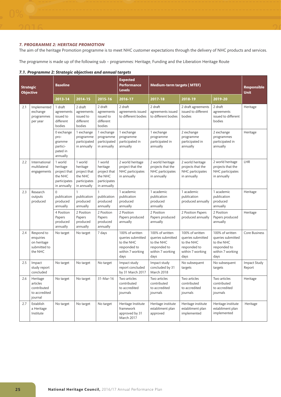# *7. Programme 2: Heritage Promotion*

The aim of the heritage Promotion programme is to meet NHC customer expectations through the delivery of NHC products and services.

The programme is made up of the following sub – programmes: Heritage, Funding and the Liberation Heritage Route

| <b>Strategic</b><br><b>Objective</b> |                                                                   | <b>Baseline</b>                                                               |                                                                               |                                                                               | <b>Expected</b><br><b>Performance</b><br><b>Levels</b>                                         | <b>Medium-term targets (MTEF)</b>                                                              |                                                                                                |                                                                                                | <b>Responsible</b><br><b>Unit</b> |
|--------------------------------------|-------------------------------------------------------------------|-------------------------------------------------------------------------------|-------------------------------------------------------------------------------|-------------------------------------------------------------------------------|------------------------------------------------------------------------------------------------|------------------------------------------------------------------------------------------------|------------------------------------------------------------------------------------------------|------------------------------------------------------------------------------------------------|-----------------------------------|
|                                      |                                                                   | 2013-14                                                                       | 2014-15                                                                       | 2015-16                                                                       | 2016-17                                                                                        | 2017-18                                                                                        | 2018-19                                                                                        | 2019-20                                                                                        |                                   |
| 2.1                                  | Implemented<br>exchange<br>programmes<br>per year                 | 1 draft<br>agreements<br>issued to<br>different<br>bodies                     | 2 draft<br>agreements<br>issued to<br>different<br>bodies                     | 2 draft<br>agreements<br>issued to<br>different<br>bodies                     | 2 draft<br>agreements issued<br>to different bodies                                            | 2 draft<br>agreements issued<br>to different bodies                                            | 2 draft agreements<br>issued to different<br>bodies                                            | 2 draft<br>agreements<br>issued to different<br>bodies                                         | Heritage                          |
|                                      |                                                                   | 0 exchange<br>pro-<br>gramme<br>partici-<br>pated in<br>annually              | 1 exchange<br>programme<br>participated<br>in annually                        | 1 exchange<br>programme<br>participated<br>in annually                        | 1 exchange<br>programme<br>participated in<br>annually                                         | 1 exchange<br>programme<br>participated in<br>annually                                         | 2 exchange<br>programme<br>participated in<br>annually                                         | 2 exchange<br>programmes<br>participated in<br>annually                                        | Heritage                          |
| 2.2                                  | International<br>multilateral<br>engagements                      | 1 world<br>heritage<br>project that<br>the NHC<br>participates<br>in annually | 1 world<br>heritage<br>project that<br>the NHC<br>participates<br>in annually | 1 world<br>heritage<br>project that<br>the NHC<br>participates<br>in annually | 2 world heritage<br>project that the<br>NHC participates<br>in annually                        | 2 world heritage<br>projects that the<br>NHC participates<br>in annually                       | 2 world heritage<br>projects that the<br>NHC participates<br>in annually                       | 2 world heritage<br>projects that the<br>NHC participates<br>in annually                       | LHR                               |
| 2.3                                  | Research<br>outputs<br>produced                                   | 0<br>publication<br>produced<br>annually                                      | 1<br>publication<br>produced<br>annually                                      | $\mathbf{1}$<br>publication<br>produced<br>annually                           | 1 academic<br>publication<br>produced<br>annually                                              | 1 academic<br>publication<br>produced<br>annually                                              | 1 academic<br>publication<br>produced annually                                                 | 1 academic<br>publication<br>produced<br>annually                                              | Heritage                          |
|                                      |                                                                   | 4 Position<br>Papers<br>produced<br>annually                                  | 2 Position<br>Papers<br>produced<br>annually                                  | 2 Position<br>Papers<br>produced<br>annually                                  | 2 Position<br>Papers produced<br>annually                                                      | 2 Position<br>Papers produced<br>annually                                                      | 2 Position Papers<br>produced annually                                                         | 2 Position<br>Papers produced<br>annually                                                      | Heritage                          |
| 2.4                                  | Respond to<br>enquiries<br>on heritage<br>submitted to<br>the NHC | No target                                                                     | No target                                                                     | 7 days                                                                        | 100% of written<br>queries submitted<br>to the NHC<br>responded to<br>within 7 working<br>days | 100% of written<br>queries submitted<br>to the NHC<br>responded to<br>within 7 working<br>days | 100% of written<br>queries submitted<br>to the NHC<br>responded to<br>within 7 working<br>days | 100% of written<br>queries submitted<br>to the NHC<br>responded to<br>within 7 working<br>days | Core Business                     |
| 2.5                                  | Impact<br>study report<br>concluded                               | No target                                                                     | No target                                                                     | No target                                                                     | Impact study<br>report concluded<br>by 31 March 2017                                           | Impact study<br>concluded by 31<br>March 2018                                                  | No subsequent<br>targets                                                                       | No subsequent<br>targets                                                                       | <b>Impact Study</b><br>Report     |
| 2.6                                  | Heritage<br>articles<br>contributed<br>to accredited<br>journal   | No target                                                                     | No target                                                                     | 31-Mar-16                                                                     | Two articles<br>contributed<br>to accredited<br>journals                                       | Two articles<br>contributed<br>to accredited<br>journals                                       | Two articles<br>contributed<br>to accredited<br>journals                                       | Two articles<br>contributed<br>to accredited<br>journals                                       | Heritage                          |
| 2.7                                  | Establish<br>a Heritage<br>Institute                              | No target                                                                     | No target                                                                     | No target                                                                     | Heritage Institute<br>framework<br>approved by 31<br>March 2017                                | Heritage institute<br>establiment plan<br>approved                                             | Heritage institute<br>establiment plan<br>implemented                                          | Heritage institute<br>establiment plan<br>implemented                                          | Heritage                          |

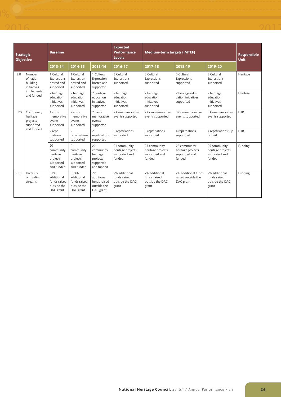| <b>Strategic</b><br><b>Objective</b> |                                                | <b>Baseline</b>                                                    |                                                                          |                                                                    | <b>Expected</b><br><b>Performance</b><br><b>Levels</b>       | <b>Medium-term targets (MTEF)</b>                            |                                                              |                                                              | <b>Responsible</b><br><b>Unit</b> |
|--------------------------------------|------------------------------------------------|--------------------------------------------------------------------|--------------------------------------------------------------------------|--------------------------------------------------------------------|--------------------------------------------------------------|--------------------------------------------------------------|--------------------------------------------------------------|--------------------------------------------------------------|-----------------------------------|
|                                      |                                                | 2013-14                                                            | 2014-15                                                                  | 2015-16                                                            | 2016-17                                                      | 2017-18                                                      | 2018-19                                                      | 2019-20                                                      |                                   |
| 2.8                                  | Number<br>of nation<br>building<br>initiatives | 1 Cultural<br>Expressions<br>hosted and<br>supported               | 1 Cultural<br>Expression<br>hosted and<br>supported                      | 1 Cultural<br>Expression<br>hosted and<br>supported                | 3 Cultural<br>Expressions<br>supported                       | 3 Cultural<br>Expressions<br>supported                       | 3 Cultural<br>Expressions<br>supported                       | 3 Cultural<br>Expressions<br>supported                       | Heritage                          |
|                                      | implemented<br>and funded                      | 2 heritage<br>education<br>initiatives<br>supported                | 2 heritage<br>education<br>initiatives<br>supported                      | 2 heritage<br>education<br>initiatives<br>supported                | 2 heritage<br>education<br>initiatives<br>supported          | 2 heritage<br>education<br>initiatives<br>supported          | 2 heritage edu-<br>cation initiatives<br>supported           | 2 heritage<br>education<br>initiatives<br>supported          | Heritage                          |
| 2.9                                  | Community<br>heritage<br>projects<br>supported | $4$ com-<br>memorative<br>events<br>supported                      | $2$ com-<br>memorative<br>events<br>supported                            | $2$ com-<br>memorative<br>events<br>supported                      | 2 Commemorative<br>events supported                          | 2 Commemorative<br>events supported                          | 3 Commemorative<br>events supported                          | 3 Commemorative<br>events supported                          | LHR                               |
|                                      | and funded                                     | 2 repa-<br>triations<br>supported                                  | $\overline{2}$<br>repatriations<br>supported                             | $\overline{2}$<br>repatriations<br>supported                       | 3 repatriations<br>supported                                 | 3 repatriations<br>supported                                 | 4 repatriations<br>supported                                 | 4 repatriations sup-<br>ported                               | LHR                               |
|                                      |                                                | 20<br>community<br>heritage<br>projects<br>supported<br>and funded | $\Omega$<br>community<br>heritage<br>projects<br>supported<br>and funded | 20<br>community<br>heritage<br>projects<br>supported<br>and funded | 21 community<br>heritage projects<br>supported and<br>funded | 23 community<br>heritage projects<br>supported and<br>funded | 25 community<br>heritage projects<br>supported and<br>funded | 25 community<br>heritage projects<br>supported and<br>funded | Funding                           |
| 2.10                                 | Diversity<br>of funding<br>streams             | 31%<br>additional<br>funds raised<br>outside the<br>DAC grant      | 5.74%<br>additional<br>funds raised<br>outside the<br>DAC grant          | 2%<br>additional<br>funds raised<br>outside the<br>DAC grant       | 2% additional<br>funds raised<br>outside the DAC<br>grant    | 2% additional<br>funds raised<br>outside the DAC<br>grant    | 2% additional funds<br>raised outside the<br>DAC grant       | 2% additional<br>funds raised<br>outside the DAC<br>grant    | Funding                           |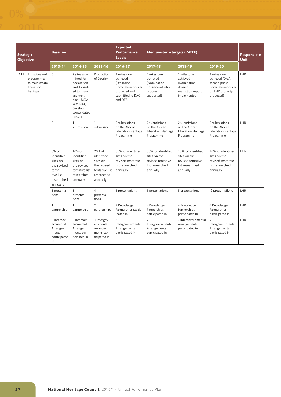| <b>Strategic</b><br><b>Objective</b> |                                                                          | <b>Baseline</b>                                                                                    |                                                                                                                                                     |                                                                                             | <b>Expected</b><br><b>Performance</b><br><b>Levels</b>                                                     | <b>Medium-term targets (MTEF)</b>                                                      |                                                                                        |                                                                                                      | <b>Responsible</b><br><b>Unit</b> |
|--------------------------------------|--------------------------------------------------------------------------|----------------------------------------------------------------------------------------------------|-----------------------------------------------------------------------------------------------------------------------------------------------------|---------------------------------------------------------------------------------------------|------------------------------------------------------------------------------------------------------------|----------------------------------------------------------------------------------------|----------------------------------------------------------------------------------------|------------------------------------------------------------------------------------------------------|-----------------------------------|
|                                      |                                                                          | 2013-14                                                                                            | 2014-15                                                                                                                                             | 2015-16                                                                                     | 2016-17                                                                                                    | 2017-18                                                                                | 2018-19                                                                                | 2019-20                                                                                              |                                   |
| 2.11                                 | Initiatives and<br>programmes<br>to mainstream<br>liberation<br>heritage | $\Omega$                                                                                           | 2 sites sub-<br>mitted for<br>declaration<br>and 1 assist-<br>ed to man-<br>agement<br>plan, MOA<br>with RIM.<br>develop<br>consolidated<br>dossier | Production<br>of Dossier                                                                    | 1 milestone<br>achieved<br>(Expanded<br>nomination dossier<br>produced and<br>submitted to DAC<br>and DEA) | 1 milestone<br>achieved<br>(Nomination<br>dossier evaluation<br>proccess<br>supported) | 1 milestone<br>achieved<br>(Nomination<br>dossier<br>evaluation report<br>implemented) | 1 milestone<br>achieved (Draft<br>second phase<br>nomination dossier<br>on LHR property<br>produced) | LHR                               |
|                                      |                                                                          | $\Omega$                                                                                           | submission                                                                                                                                          | submission                                                                                  | 2 submissions<br>on the African<br>Liberation Heritage<br>Programme                                        | 2 submissions<br>on the African<br>Liberation Heritage<br>Programme                    | 2 submissions<br>on the African<br><b>Liberation Heritage</b><br>Programme             | 2 submissions<br>on the African<br>Liberation Heritage<br>Programme                                  | LHR                               |
|                                      |                                                                          | $0\%$ of<br>identified<br>sites on<br>the revised<br>tenta-<br>tive list<br>researched<br>annually | 10% of<br>identified<br>sites on<br>the revised<br>tentative list<br>researched<br>annually                                                         | 20% of<br>identified<br>sites on<br>the revised<br>tentative list<br>researched<br>annually | 30% of identified<br>sites on the<br>revised tentative<br>list researched<br>annually                      | 30% of identified<br>sites on the<br>revised tentative<br>list researched<br>annually  | 10% of identified<br>sites on the<br>revised tentative<br>list researched<br>annually  | 10% of identified<br>sites on the<br>revised tentative<br>list researched<br>annually                | LHR                               |
|                                      |                                                                          | 5 presenta-<br>tions                                                                               | 3<br>presenta-<br>tions                                                                                                                             | $\overline{4}$<br>presenta-<br>tions                                                        | 5 presentations                                                                                            | 5 presentations                                                                        | 5 presentations                                                                        | 5 presentations                                                                                      | LHR                               |
|                                      |                                                                          | $\mathbf{1}$<br>partnership                                                                        | $\mathbf{1}$<br>partnership                                                                                                                         | $\overline{2}$<br>partnerships                                                              | 2 Knowledge<br>Partnerships partic-<br>ipated in                                                           | 4 Knowledge<br>Partnerships<br>participated in                                         | 4 Knowledge<br>Partnerships<br>participated in                                         | 4 Knowledge<br>Partnerships<br>participated in                                                       | LHR                               |
|                                      |                                                                          | 0 Intergov-<br>ernmental<br>Arrange-<br>ments<br>participated<br>in                                | 2 Intergov-<br>ernmental<br>Arrange-<br>ments par-<br>ticipated in                                                                                  | 4 Intergov-<br>ernmental<br>Arrange-<br>ments par-<br>ticipated in                          | 5<br>Intergovernmental<br>Arrangements<br>participated in                                                  | $\overline{7}$<br>Intergovernmental<br>Arrangements<br>participated in                 | 7 Intergovernmental<br>Arrangements<br>participated in                                 | $\overline{7}$<br>Intergovernmental<br>Arrangements<br>participated in                               | LHR                               |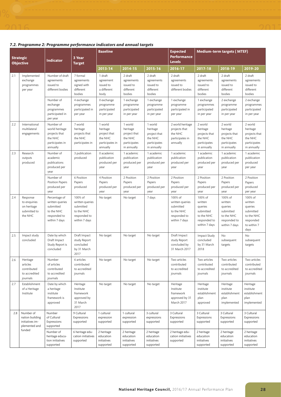|             | <b>Strategic</b><br><b>Objective</b>                               | <b>Indicator</b>                                                                             | 3 Year<br><b>Target</b>                                                                | <b>Baseline</b>                                                               |                                                                               |                                                                               | <b>Expected</b><br><b>Performance</b><br><b>Levels</b>                                 |                                                                                           | <b>Medium-term targets (MTEF)</b>                                                         |                                                                                              |
|-------------|--------------------------------------------------------------------|----------------------------------------------------------------------------------------------|----------------------------------------------------------------------------------------|-------------------------------------------------------------------------------|-------------------------------------------------------------------------------|-------------------------------------------------------------------------------|----------------------------------------------------------------------------------------|-------------------------------------------------------------------------------------------|-------------------------------------------------------------------------------------------|----------------------------------------------------------------------------------------------|
|             |                                                                    |                                                                                              |                                                                                        | 2013-14                                                                       | 2014-15                                                                       | 2015-16                                                                       | 2016-17                                                                                | 2017-18                                                                                   | 2018-19                                                                                   | 2019-20                                                                                      |
| 2.1         | Implemented<br>exchange<br>programmes<br>per year                  | Number of draft<br>agreements<br>issued to<br>different bodies                               | 7 formal<br>agreements<br>signed with<br>different<br>bodies                           | 1 draft<br>agreement<br>issued to<br>a different<br>body                      | 2 draft<br>agreements<br>issued to<br>different<br>bodies                     | 2 draft<br>agreements<br>issued to<br>different<br>bodies                     | 2 draft<br>agreements<br>issued to<br>different bodies                                 | 2 draft<br>agreements<br>issued to<br>different<br>bodies                                 | 2 draft<br>agreements<br>issued to<br>different<br>bodies                                 | 2 draft<br>agreements<br>issued to<br>different<br>bodies                                    |
|             |                                                                    | Number of<br>exchange<br>programmes<br>participated in<br>per year                           | 4 exchange<br>programmes<br>participated in<br>per year                                | 0 exchange<br>programme<br>participated<br>in per year                        | 1 exchange<br>programme<br>participated<br>in per year                        | 1 exchange<br>programme<br>participated<br>in per year                        | 1 exchange<br>programme<br>participated in<br>per year                                 | 1 exchange<br>programmes<br>participated<br>in per year                                   | 2 exchange<br>programme<br>participated<br>in per year                                    | 2 exchange<br>programmes<br>participated<br>in per year                                      |
| 2.2         | International<br>multilateral<br>engagements                       | Number of<br>world heritage<br>projects that<br>the NHC<br>participates in<br>annually       | 7 world<br>heritage<br>projects that<br>the NHC<br>participates in                     | 1 world<br>heritage<br>project that<br>the NHC<br>participates in<br>annually | 1 world<br>heritage<br>project that<br>the NHC<br>participates<br>in annually | 1 world<br>heritage<br>project that<br>the NHC<br>participates<br>in annually | 2 world heritage<br>projects that<br>the NHC<br>participates in<br>annually            | 2 world<br>heritage<br>projects that<br>the NHC<br>participates<br>in annually            | 2 world<br>heritage<br>projects that<br>the NHC<br>participates<br>in annually            | 2 world<br>heritage<br>projects that<br>the NHC<br>participates<br>in annually               |
| 2.3         | Research<br>outputs<br>produced                                    | Number of<br>academic<br>publications<br>produced per<br>year                                | 3 publication<br>produced                                                              | 0 academic<br>publication<br>produced per<br>year                             | 1 academic<br>publication<br>produced per<br>year                             | 1 academic<br>publication<br>produced per<br>year                             | 1 academic<br>publication<br>produced per<br>year                                      | 1 academic<br>publication<br>produced per<br>year                                         | 1 academic<br>publication<br>produced per<br>year                                         | 1 academic<br>publication<br>produced<br>per year                                            |
|             |                                                                    | Number of<br><b>Position Papers</b><br>produced per<br>year                                  | 6 Position<br>Papers<br>produced                                                       | 4 Position<br>Papers<br>produced per<br>year                                  | 2 Position<br>Papers<br>produced per<br>year                                  | 2 Position<br>Papers<br>produced per<br>year                                  | 2 Position<br>Papers<br>produced per<br>year                                           | 2 Position<br>Papers<br>produced per<br>year                                              | 2 Position<br>Papers<br>produced per<br>year                                              | 2 Position<br>Papers<br>produced<br>per year                                                 |
| 2.4         | Response<br>to enquiries<br>on heritage<br>submitted to<br>the NHC | Percentage of<br>written queries<br>submitted<br>to the NHC<br>responded to<br>within 7 days | 100% of<br>written queries<br>submitted<br>to the NHC<br>responded to<br>within 7 days | No target                                                                     | No target                                                                     | 7 days                                                                        | 100% of<br>written queries<br>submitted<br>to the NHC<br>responded to<br>within 7 days | 100% of<br>written<br>queries<br>submitted<br>to the NHC<br>responded to<br>within 7 days | 100% of<br>written<br>queries<br>submitted<br>to the NHC<br>responded to<br>within 7 days | 100% of<br>written<br>queries<br>submitted<br>to the NHC<br>responded<br>to within 7<br>days |
| 2.5         | Impact study<br>concluded                                          | Date by which<br>Draft Impact<br>Study Report is<br>concluded                                | Draft Impact<br>study Report<br>concluded<br>by 31 March<br>2017                       | No target                                                                     | No target                                                                     | No target                                                                     | Draft Impact<br>study Report<br>concluded by<br>31 March 2017                          | <b>Impact Study</b><br>concluded<br>by 31 March<br>2018                                   | No<br>subsequent<br>targets                                                               | <b>No</b><br>subsequent<br>targets                                                           |
| $\vert$ 2.6 | Heritage<br>articles<br>contributed<br>to accredited<br>journals   | Number<br>of articles<br>contributed<br>to accredited<br>journals                            | 6 articles<br>contributed<br>to accredited<br>journals                                 | No target                                                                     | No target                                                                     | No target                                                                     | Two articles<br>contributed<br>to accredited<br>journals                               | Two articles<br>contributed<br>to accredited<br>journals                                  | Two articles<br>contributed<br>to accredited<br>journals                                  | Two articles<br>contributed<br>to accredited<br>journals                                     |
| 2.7         | Establishment<br>of a Heritage<br>Institute                        | Date by which<br>a heritage<br>institute<br>framework is<br>approved                         | Heritage<br>Institute<br>framework<br>approved by<br>31 March<br>2017                  | No target                                                                     | No target                                                                     | No target                                                                     | Heritage<br>Institute<br>framework<br>approved by 31<br>March 2017                     | Heritage<br>institute<br>establishment<br>plan<br>approved                                | Heritage<br>institute<br>establishment<br>plan<br>implemented                             | Heritage<br>institute<br>establishment<br>plan<br>implemented                                |
| 2.8         | Number of<br>nation building<br>initiatives im-<br>plemented and   | Number<br>of Cultural<br>Expressions<br>supported                                            | 9 Cultural<br>Expressions<br>supported                                                 | 1 cultural<br>expression<br>supported                                         | 1 cultural<br>expression<br>supported                                         | 3 cultural<br>expressions<br>supported                                        | 3 Cultural<br>Expressions<br>supported                                                 | 3 Cultural<br>Expressions<br>supported                                                    | 3 Cultural<br>Expressions<br>supported                                                    | 3 Cultural<br>Expressions<br>supported                                                       |
|             | funded                                                             | Number of<br>heritage educa-<br>tion initiatives<br>supported                                | 6 heritage edu-<br>cation initiatives<br>supported                                     | 2 heritage<br>education<br>initiatives<br>supported                           | 2 heritage<br>education<br>initiatives<br>supported                           | 2 heritage<br>education<br>initiatives<br>supported                           | 2 heritage edu-<br>cation initiatives<br>supported                                     | 2 heritage<br>education<br>initiatives<br>supported                                       | 2 heritage<br>education<br>initiatives<br>supported                                       | 2 heritage<br>education<br>initiatives<br>supported                                          |

# *7.2. Programme 2: Programme performance indicators and annual targets*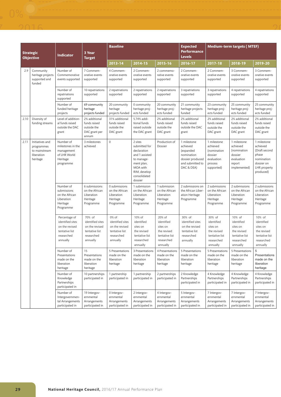|      | <b>Strategic</b><br><b>Objective</b>                                     | <b>Indicator</b>                                                                                | 3 Year<br><b>Target</b>                                                                  | <b>Baseline</b>                                                                         |                                                                                                                                              |                                                                                             | <b>Expected</b><br><b>Performance</b><br><b>Levels</b>                                                   |                                                                                             | <b>Medium-term targets (MTEF)</b>                                                           |                                                                                                            |
|------|--------------------------------------------------------------------------|-------------------------------------------------------------------------------------------------|------------------------------------------------------------------------------------------|-----------------------------------------------------------------------------------------|----------------------------------------------------------------------------------------------------------------------------------------------|---------------------------------------------------------------------------------------------|----------------------------------------------------------------------------------------------------------|---------------------------------------------------------------------------------------------|---------------------------------------------------------------------------------------------|------------------------------------------------------------------------------------------------------------|
|      |                                                                          |                                                                                                 |                                                                                          | 2013-14                                                                                 | 2014-15                                                                                                                                      | 2015-16                                                                                     | 2016-17                                                                                                  | 2017-18                                                                                     | 2018-19                                                                                     | 2019-20                                                                                                    |
| 2.9  | Community<br>heritage projects<br>supported and<br>funded                | Number of<br>Commemorative<br>events supported                                                  | 7 Commem-<br>orative events<br>supported                                                 | 4 Commem-<br>orative events<br>supported                                                | 2 Commem-<br>orative events<br>supported                                                                                                     | 2 commemo-<br>rative events<br>supported                                                    | 2 Commem-<br>orative events<br>supported                                                                 | 2 Commem-<br>orative events<br>supported                                                    | 3 Commem-<br>orative events<br>supported                                                    | 3 Commem-<br>orative events<br>supported                                                                   |
|      |                                                                          | Number of<br>repatriations<br>supported                                                         | 10 repatriations<br>supported                                                            | 2 repatriations<br>supported                                                            | 2 repatriations<br>supported                                                                                                                 | 2 repatriations<br>supported                                                                | 3 repatriations<br>supported                                                                             | 3 repatriations<br>supported                                                                | 4 repatriations<br>supported                                                                | 4 repatriations<br>supported                                                                               |
|      |                                                                          | Number of<br>funded heritage<br>projects                                                        | 69 community<br>heritage<br>projects funded                                              | 20 community<br>heritage<br>projects funded                                             | 0 community<br>heritage proj-<br>ects funded                                                                                                 | 20 community<br>heritage proj-<br>ects funded                                               | 21 community<br>heritage projects<br>funded                                                              | 23 community<br>heritage proj-<br>ects funded                                               | 25 community<br>heritage proj-<br>ects funded                                               | 25 community<br>heritage proj-<br>ects funded                                                              |
| 2.10 | Diversity of<br>funding streams                                          | Level of addition-<br>al funds raised<br>outside the DAC<br>grant                               | 2% additional<br>funds raised<br>outside the<br>DAC grant per<br>annum                   | 31% additional<br>funds raised<br>outside the<br>DAC grant                              | 5.74% addi-<br>tional funds<br>raised outside<br>the DAC grant                                                                               | 2% additional<br>funds raised<br>outside the<br>DAC grant                                   | 2% additional<br>funds raised<br>outside the DAC<br>grant                                                | 2% additional<br>funds raised<br>outside the<br>DAC grant                                   | 2% additional<br>funds raised<br>outside the<br>DAC grant                                   | 2% additional<br>funds raised<br>outside the<br>DAC grant                                                  |
| 2.11 | Initiatives and<br>programmes<br>to mainstream<br>liberation<br>heritage | Number of<br>milestones in the<br>management<br>of LHR World<br>Heritage<br>programme           | 3 milestones<br>achieved                                                                 | $\mathbf{0}$                                                                            | 2 sites<br>submitted for<br>declaration<br>and 1 assisted<br>to manage-<br>ment plan,<br>MOA with<br>RIM, develop<br>consolidated<br>dossier | Production of<br>Dossier                                                                    | 1 milestone<br>achieved<br>(expanded<br>nomination<br>dossier produced<br>and submitted to<br>DAC & DEA) | 1 milestone<br>achieved<br>(nomination<br>dossier<br>evaluation<br>process<br>supported)    | 1 milestone<br>achieved<br>(nomination<br>dossier<br>evaluation<br>report<br>implemented)   | 1 milestone<br>achieved<br>(Draft second<br>phase<br>nomination<br>dossier on<br>LHR property<br>produced) |
|      |                                                                          | Number of<br>submissions<br>on the African<br>Liberation<br>Heritage<br>Programme               | 6 submissions<br>on the African<br>Liberation<br>Heritage<br>Programme                   | 0 submissions<br>on the African<br>Liberation<br>Heritage<br>Programme                  | 1 submission<br>on the African<br>Liberation<br>Heritage<br>Programme                                                                        | 1 submission<br>on the African<br>Liberation<br>Heritage<br>Programme                       | 2 submissions on<br>the African Liber-<br>ation Heritage<br>Programme                                    | 2 submissions<br>on the African<br>Liberation<br>Heritage<br>Programme                      | 2 submissions<br>on the African<br>Liberation<br>Heritage<br>Programme                      | 2 submissions<br>on the African<br>Liberation<br>Heritage<br>Programme                                     |
|      |                                                                          | Percentage of<br>identified sites<br>on the revised<br>tentative list<br>researched<br>annually | 70% of<br>identified sites<br>on the revised<br>tentative list<br>researched<br>annually | 0% of<br>identified sites<br>on the revised<br>tentative list<br>researched<br>annually | 10% of<br>identified<br>sites on<br>the revised<br>tentative list<br>researched<br>annually                                                  | 20% of<br>identified<br>sites on<br>the revised<br>tentative list<br>researched<br>annually | 30% of<br>identified sites<br>on the revised<br>tentative list<br>researched<br>annually                 | 30% of<br>identified<br>sites on<br>the revised<br>tentative list<br>researched<br>annually | 10% of<br>identified<br>sites on<br>the revised<br>tentative list<br>researched<br>annually | 10% of<br>identified<br>sites on<br>the revised<br>tentative list<br>researched<br>annually                |
|      |                                                                          | Number of<br>Presentations<br>made on the<br>liberation<br>heritage                             | 15<br>Presentations<br>made on the<br>liberation<br>heritage                             | 5 Presentations<br>made on the<br>liberation<br>heritage                                | 3 Presentations<br>made on the<br>liberation<br>heritage                                                                                     | 4 Presentations<br>made on the<br>liberation<br>heritage                                    | 5 Presentations<br>made on the<br>liberation<br>heritage                                                 | 5 Presentations<br>made on the<br>liberation<br>heritage                                    | 5 Presentations<br>made on the<br>liberation<br>heritage                                    | 5<br>Presentations<br>made on the<br>liberation<br>heritage                                                |
|      |                                                                          | Number of<br>Knowledge<br>Partnerships<br>participated in                                       | 10 partnerships<br>participated in                                                       | 1 partnership<br>participated in                                                        | 1 partnership<br>participated in                                                                                                             | 2 partnerships<br>participated in                                                           | 2 Knowledge<br>Partnerships<br>participated in                                                           | 4 Knowledge<br>Partnerships<br>participated in                                              | 4 Knowledge<br>Partnerships<br>participated in                                              | 4 Knowledge<br>Partnerships<br>participated in                                                             |
|      |                                                                          | Number of<br>Intergovernmen-<br>tal Arrangements<br>participated in                             | 19 Intergov-<br>ernmental<br>Arrangements<br>participated in                             | 0 Intergov-<br>ernmental<br>Arrangements<br>participated in                             | 2 Intergov-<br>ernmental<br>Arrangements<br>participated in                                                                                  | 4 Intergov-<br>ernmental<br>Arrangements<br>participated in                                 | 5 Intergov-<br>ernmental<br>Arrangements<br>participated in                                              | 7 Intergov-<br>ernmental<br>Arrangements<br>participated in                                 | 7 Intergov-<br>ernmental<br>Arrangements<br>participated in                                 | 7 Intergov-<br>ernmental<br>Arrangements<br>participated in                                                |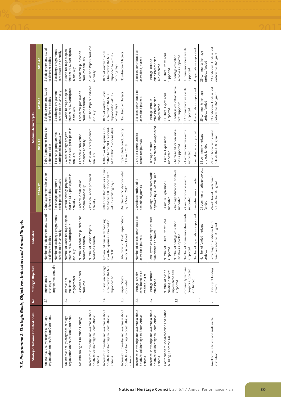7.3. Programme 2: Strategic Goals, Objectives, Indicators and Annual Targets *7.3. Programme 2: Strategic Goals, Objectives, Indicators and Annual Targets*

| <b>Strategic Outcome Oriented Goals</b>                                                           | $\frac{\dot{\mathsf{S}}}{\mathsf{Z}}$ | <b>Strategic Objective</b>                                    | Indicator                                                                        |                                                                                         | Medium-term targets                                                                       |                                                                                          |                                                                                          |
|---------------------------------------------------------------------------------------------------|---------------------------------------|---------------------------------------------------------------|----------------------------------------------------------------------------------|-----------------------------------------------------------------------------------------|-------------------------------------------------------------------------------------------|------------------------------------------------------------------------------------------|------------------------------------------------------------------------------------------|
|                                                                                                   |                                       |                                                               |                                                                                  | 2016-17                                                                                 | 2017-18                                                                                   | 2018-19                                                                                  | 2019-20                                                                                  |
| organisation on the African Continent.<br>An internationally recognised heritage                  | 21                                    | Implemented<br>exchange                                       | Number of draft agreements issued<br>to different bodies                         | 2 draft agreements issued to<br>different bodies                                        | 2 draft agreements issued to<br>different bodies                                          | 2 draft agreements issued<br>to different bodies                                         | 2 draft agreements issued<br>to different bodies                                         |
|                                                                                                   |                                       | programmes annually                                           | Number of exchange programmes<br>participated in annually                        | 1 exchange programme<br>participated in annually                                        | 1 exchange programmes<br>participated in annually                                         | 2 exchange programme<br>participated in annually                                         | 2 exchange programmes<br>participated in annually                                        |
| organisation on the African Continent.<br>An internationally recognised heritage                  | 2.2                                   | engagements<br>International<br>multilateral                  | Number of world heritage projects<br>the NHC participates in<br>annually<br>that | that the NHC participates in<br>2 world heritage projects<br>annually                   | that the NHC participates in<br>2 world heritage projects<br>annually                     | that the NHC participates<br>2 world heritage projects<br>in annually                    | that the NHC participates<br>2 world heritage projects<br>in annually                    |
| Mainstreaming of Liberation Heritage.                                                             | 2.3                                   | Research outputs<br>produced                                  | Number of academic publications<br>produced annually                             | 1 academic publication<br>produced annually                                             | 1 academic publication<br>produced annually                                               | 1 academic publication<br>produced annually                                              | 1 academic publication<br>produced annually                                              |
| Increased knowledge and awareness about<br>South Africa's heritage by South Africa's<br>citizens. |                                       |                                                               | Number of Position Papers<br>produced annually                                   | 2 Position Papers produced<br>annually                                                  | 2 Position Papers produced<br>annually                                                    | 2 Position Papers produced<br>annually                                                   | 2 Position Papers produced<br>annually                                                   |
| Increased knowledge and awareness about<br>South Africa's heritage by South Africa's<br>citizens. | 2.4                                   | submitted to the NHC<br>Enquiries on heritage<br>responded to | Turnaround time in responding<br>to written queries submitted to<br>the NHC      | 100% of written queries submit-<br>ted to the NHC responded to<br>within 7 working days | 100% of written queries sub-<br>mitted to the NHC respond-<br>ed to within 7 working days | 100% of written queries<br>submitted to the NHC<br>responded to within 7<br>working days | 100% of written queries<br>submitted to the NHC<br>responded to within 7<br>working days |
| Increased knowledge and awareness about<br>South Africa's heritage by South Africa's<br>citizens. | 2.5                                   | Impact Study<br>concluded                                     | Date by which Draft Impact Study<br>art is concluded<br>Repo                     | Draft Impact Study concluded<br>by 31 March 2017                                        | Impact Study concluded by<br>31 March 2018                                                | No subsequent targets                                                                    | No subsequent targets                                                                    |
| Increased knowledge and awareness about<br>South Africa's heritage by South Africa's<br>citizens. | 2.6                                   | contributed to ac-<br>Heritage articles<br>credited journal   | Number of articles contributed to<br>accredited journals                         | 2 articles contributed to<br>accredited journals                                        | 2 articles contributed to<br>accredited journals                                          | 2 articles contributed to<br>accredited journals                                         | 2 articles contributed to<br>accredited journals                                         |
| Increased knowledge and awareness about<br>South Africa's heritage by South Africa's<br>citizens. | 2.7                                   | Heritage Institute<br>established                             | by which a heritage institute<br>framework is approved<br>Date                   | Heritage Institute framework<br>approved by 31 March 2017                               | establishment plan approved<br>Heritage institute                                         | establishment plan<br>Heritage institute<br>mplemented                                   | establishment plan<br>Heritage institute<br>implemented                                  |
| Contribution to social cohesion and nation<br>building (Outcome 14).                              |                                       | building initiatives<br>Number of nation                      | Number of Cultural Expressions<br>supported                                      | 3 Cultural Expressions<br>supported                                                     | 3 Cultural Expressions<br>supported                                                       | 3 Cultural Expressions<br>supported                                                      | 3 Cultural Expressions<br>supported                                                      |
|                                                                                                   | 2.8                                   | implemented and<br>supported                                  | Number of heritage education<br>initiatives supported                            | 2 heritage education initiatives<br>supported                                           | 2 heritage education initia-<br>tives supported                                           | 2 heritage education initia<br>tives supported                                           | 2 heritage education<br>initiatives supported                                            |
|                                                                                                   |                                       | community heritage<br>projects supported                      | Number of Commemorative events<br>supported                                      | 2 Commemorative events<br>supported                                                     | 2 Commemorative events<br>supported                                                       | 3 Commemorative events<br>supported                                                      | 3 Commemorative events<br>supported                                                      |
|                                                                                                   |                                       | and funded                                                    | Number of repatriations supported                                                | 3 repatriations supported                                                               | 3 repatriations supported                                                                 | 4 repatriations supported                                                                | 4 repatriations supported                                                                |
|                                                                                                   | 2.9                                   |                                                               | Number of funded heritage<br>projects                                            | 21 community heritage projects<br>funded                                                | 23 community heritage<br>projects funded                                                  | 25 community heritage<br>projects funded                                                 | 25 community heritage<br>projects funded                                                 |
| An effective, efficient and sustainable<br>institution                                            | 2.10                                  | Diversity of funding<br>streams                               | Percentage of additional funds<br>raised outside the DAC grant                   | 2% additional funds raised<br>outside the DAC grant                                     | 2% additional funds raised<br>outside the DAC grant                                       | 2% additional funds raised<br>outside the DAC grant                                      | 2% additional funds raised<br>outside the DAC grant                                      |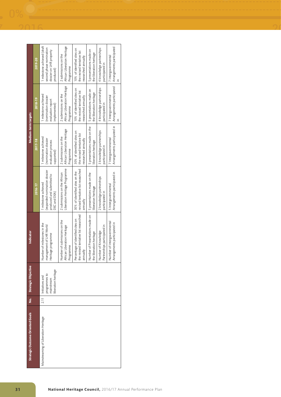| <b>Strategic Outcome Oriented Goals</b> | $\frac{\dot{\mathsf{S}}}{\mathsf{Z}}$ | Strategic Objective                                                   | Indicator                                                                              |                                                                                                  | Medium-term targets                                                             |                                                                                  |                                                                                                |
|-----------------------------------------|---------------------------------------|-----------------------------------------------------------------------|----------------------------------------------------------------------------------------|--------------------------------------------------------------------------------------------------|---------------------------------------------------------------------------------|----------------------------------------------------------------------------------|------------------------------------------------------------------------------------------------|
|                                         |                                       |                                                                       |                                                                                        | 2016-17                                                                                          | 2017-18                                                                         | 2018-19                                                                          | 2019-20                                                                                        |
| Mainstreaming of Liberation Heritage    | 2.11                                  | liberation heritage<br>programmes to<br>Initiatives and<br>mainstream | Number of milestones in the<br>management of LHR World<br>Heritage programme           | expanded nomination dossier<br>produced and submitted to<br>1 milestone achieved<br>DEC and DEA) | 1 milestone achieved<br>(nomination dossier<br>evaluation process<br>supported) | 1 milestone achieved<br>(nomination dossier<br>evaluation report<br>implemented) | 1 milestone achieved (draft<br>second phase nomination<br>dossier on LHR property<br>produced) |
|                                         |                                       |                                                                       | Number of submissions on the<br>African Liberation Heritage<br>Programme               | Liberation Heritage Programme<br>2 submissions on the African                                    | African Liberation Heritage<br>2 submissions on the<br>Programme                | African Liberation Heritage<br>2 submissions on the<br>Programme                 | African Liberation Heritage<br>2 submissions on the<br>Programme                               |
|                                         |                                       |                                                                       | Percentage of identified sites on<br>the revised tentative list researched<br>annually | revised tentative list researched<br>30% of identified sites on the<br>annually                  | 30% of identified sites on<br>the revised tentative list<br>researched annually | 10% of identified sites on<br>the revised tentative list<br>researched annually  | 10% of identified sites on<br>the revised tentative list<br>researched annually                |
|                                         |                                       |                                                                       | Number of Presentations made on<br>the liberation heritage                             | 5 presentations made on the<br>iberation heritage                                                | 5 presentations made on the<br>liberation heritage                              | 5 presentations made on<br>the liberation heritage                               | 5 presentations made on<br>the liberation heritage                                             |
|                                         |                                       |                                                                       | rtnerships participated in<br>Number of Knowledge<br>Partnerships participate          | 2 knowledge partnerships<br>participated in                                                      | 3 knowledge partnerships<br>participated in                                     | 4 knowledge partnerships<br>participated in                                      | 4 knowledge partnerships<br>participated in                                                    |
|                                         |                                       |                                                                       | Number of Intergovernmental<br>Arrangements participated in                            | Arrangements participated in<br>5 Intergovernmental                                              | Arrangements participated in<br>7 Intergovernmental                             | Arrangements participated<br>7 Intergovernmental<br>$\equiv$                     | Arrangements participated<br>7 Intergovernmental<br>$\equiv$                                   |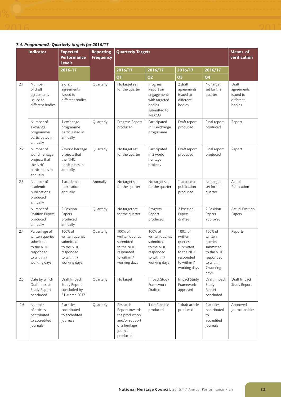# *7.4. Programme2: Quarterly targets for 2016/17*

| <b>Indicator</b><br><b>Expected</b><br><b>Performance</b><br>Levels |                                                                                                         | <b>Reporting</b><br><b>Frequency</b>                                                              | <b>Quarterly Targets</b> | Means of<br>verification                                                                               |                                                                                                   |                                                                                                      |                                                                                                         |                                                         |
|---------------------------------------------------------------------|---------------------------------------------------------------------------------------------------------|---------------------------------------------------------------------------------------------------|--------------------------|--------------------------------------------------------------------------------------------------------|---------------------------------------------------------------------------------------------------|------------------------------------------------------------------------------------------------------|---------------------------------------------------------------------------------------------------------|---------------------------------------------------------|
|                                                                     |                                                                                                         | 2016-17                                                                                           |                          | 2016/17                                                                                                | 2016/17                                                                                           | 2016/17                                                                                              | 2016/17                                                                                                 |                                                         |
|                                                                     |                                                                                                         |                                                                                                   |                          | Q1                                                                                                     | Q <sub>2</sub>                                                                                    | Q <sub>3</sub>                                                                                       | Q4                                                                                                      |                                                         |
| 2.1                                                                 | Number<br>of draft<br>agreements<br>issued to<br>different bodies                                       | 2 draft<br>agreements<br>issued to<br>different bodies                                            | Quarterly                | No target set<br>for the quarter                                                                       | Progress<br>Report on<br>engagements<br>with targeted<br>bodies<br>submitted to<br><b>MEXCO</b>   | 2 draft<br>agreements<br>issued to<br>different<br>bodies                                            | No target<br>set for the<br>quarter                                                                     | Draft<br>agreements<br>issued to<br>different<br>bodies |
|                                                                     | Number of<br>exchange<br>programmes<br>participated in<br>annually                                      | 1 exchange<br>programme<br>participated in<br>annually                                            | Quarterly                | Progress Report<br>produced                                                                            | Participated<br>in 1 exchange<br>programme                                                        | Draft report<br>produced                                                                             | Final report<br>produced                                                                                | Report                                                  |
| 2.2                                                                 | Number of<br>world heritage<br>projects that<br>the NHC<br>participates in<br>annually                  | 2 world heritage<br>projects that<br>the NHC<br>participates in<br>annually                       | Quarterly                | No target set<br>for the quarter                                                                       | Participated<br>in 2 world<br>heritage<br>projects                                                | Draft report<br>produced                                                                             | Final report<br>produced                                                                                | Report                                                  |
| 2.3                                                                 | Number of<br>academic<br>publications<br>produced<br>annually                                           | 1 academic<br>publication<br>annually                                                             | Annually                 | No target set<br>for the quarter                                                                       | No target set<br>for the quarter                                                                  | 1 academic<br>publication<br>produced                                                                | No target<br>set for the<br>quarter                                                                     | Actual<br>Publication                                   |
|                                                                     | Number of<br><b>Position Papers</b><br>produced<br>annually                                             | 2 Position<br>Papers<br>produced<br>annually                                                      | Quarterly                | No target set<br>for the quarter                                                                       | Progress<br>Report<br>produced                                                                    | 2 Position<br>Papers<br>drafted                                                                      | 2 Position<br>Papers<br>approved                                                                        | <b>Actual Position</b><br>Papers                        |
| 2.4                                                                 | Percentage of<br>written queries<br>submitted<br>to the NHC<br>responded<br>to within 7<br>working days | 100% of<br>written queries<br>submitted<br>to the NHC<br>responded<br>to within 7<br>working days | Quarterly                | 100% of<br>written queries<br>submitted<br>to the NHC<br>responded<br>to within 7<br>working days      | 100% of<br>written queries<br>submitted<br>to the NHC<br>responded<br>to within 7<br>working days | 100% of<br>written<br>queries<br>submitted<br>to the NHC<br>responded<br>to within 7<br>working days | 100% of<br>written<br>queries<br>submitted<br>to the NHC<br>responded<br>to within<br>7 working<br>days | Reports                                                 |
| 2.5.                                                                | Date by which<br>Draft Impact<br>Study Report<br>concluded                                              | Draft Impact<br>Study Report<br>concluded by<br>31 March 2017                                     | Quarterly                | No target                                                                                              | <b>Impact Study</b><br>Framework<br>Drafted                                                       | <b>Impact Study</b><br>Framework<br>approved                                                         | Draft Impact<br>Study<br>Report<br>concluded                                                            | Draft Impact<br><b>Study Report</b>                     |
| 2.6                                                                 | Number<br>of articles<br>contributed<br>to accredited<br>journals                                       | 2 articles<br>contributed<br>to accredited<br>journals                                            | Quarterly                | Research<br>Report towards<br>the production<br>and/or support<br>of a heritage<br>Journal<br>produced | 1 draft article<br>produced                                                                       | 1 draft article<br>produced                                                                          | 2 articles<br>contributed<br>to<br>accredited<br>journals                                               | Approved<br>Journal articles                            |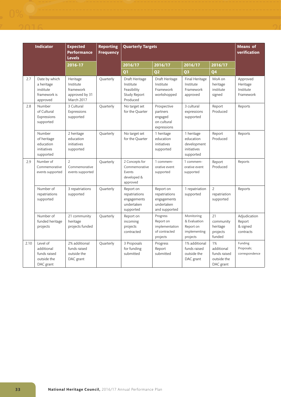| Indicator<br><b>Expected</b><br><b>Performance</b><br><b>Levels</b> |                                                                      | <b>Reporting</b><br><b>Frequency</b>                               | <b>Quarterly Targets</b> |                                                                               | <b>Means</b> of<br>verification                                          |                                                                     |                                                              |                                                 |
|---------------------------------------------------------------------|----------------------------------------------------------------------|--------------------------------------------------------------------|--------------------------|-------------------------------------------------------------------------------|--------------------------------------------------------------------------|---------------------------------------------------------------------|--------------------------------------------------------------|-------------------------------------------------|
|                                                                     |                                                                      | 2016-17                                                            |                          | 2016/17                                                                       | 2016/17                                                                  | 2016/17                                                             | 2016/17                                                      |                                                 |
|                                                                     |                                                                      |                                                                    |                          | Q <sub>1</sub>                                                                | Q <sub>2</sub>                                                           | Q <sub>3</sub>                                                      | Q <sub>4</sub>                                               |                                                 |
| 2.7                                                                 | Date by which<br>a heritage<br>institute<br>framework is<br>approved | Heritage<br>Institute<br>framework<br>approved by 31<br>March 2017 | Quarterly                | Draft Heritage<br>Institute<br>Feasibility<br><b>Study Report</b><br>Produced | Draft Heritage<br>Institute<br>Framework<br>workshopped                  | Final Heritage<br>Institute<br>Framework<br>approved                | MoA on<br>heritage<br>institute<br>signed                    | Approved<br>Heritage<br>Institute<br>Framework  |
| 2.8                                                                 | Number<br>of Cultural<br>Expressions<br>supported                    | 3 Cultural<br>Expressions<br>supported                             | Quarterly                | No target set<br>for the Quarter                                              | Prospective<br>partners<br>engaged<br>on cultural<br>expressions         | 3 cultural<br>expressions<br>supported                              | Report<br>Produced                                           | Reports                                         |
|                                                                     | Number<br>of heritage<br>education<br>initiatives<br>supported       | 2 heritage<br>education<br>initiatives<br>supported                | Quarterly                | No target set<br>for the Quarter                                              | 1 heritage<br>education<br>initiatives<br>supported                      | 1 heritage<br>education<br>development<br>initiatives<br>supported  | Report<br>Produced                                           | Reports                                         |
| 2.9                                                                 | Number of<br>Commemorative<br>events supported                       | $\overline{2}$<br>Commemorative<br>events supported                | Quarterly                | 2 Concepts for<br>Commemorative<br>Events<br>developed &<br>approved          | 1 commem-<br>orative event<br>supported                                  | 1 commem-<br>orative event<br>supported                             | Report<br>Produced                                           | Reports                                         |
|                                                                     | Number of<br>repatriations<br>supported                              | 3 repatriations<br>supported                                       | Quarterly                | Report on<br>repatriations<br>engagements<br>undertaken<br>supported          | Report on<br>repatriations<br>engagements<br>undertaken<br>and supported | 1 repatriation<br>supported                                         | $\overline{2}$<br>repatriation<br>supported                  | Reports                                         |
|                                                                     | Number of<br>funded heritage<br>projects                             | 21 community<br>heritage<br>projects funded                        | Quarterly                | Report on<br>incoming<br>projects<br>contracted                               | Progress<br>Report on<br>implementation<br>of contracted<br>projects     | Monitoring<br>& Evaluation<br>Report on<br>implementing<br>projects | 21<br>community<br>heritage<br>projects<br>funded            | Adjudication<br>Report<br>& signed<br>contracts |
| 2.10                                                                | Level of<br>additional<br>funds raised<br>outside the<br>DAC grant   | 2% additional<br>funds raised<br>outside the<br>DAC grant          | Quarterly                | 3 Proposals<br>for funding<br>submitted                                       | Progress<br>Report<br>submitted                                          | 1% additional<br>funds raised<br>outside the<br>DAC grant           | 1%<br>additional<br>funds raised<br>outside the<br>DAC grant | Funding<br>Proposals;<br>correspondence         |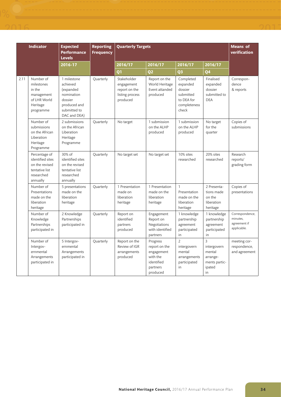| <b>Indicator</b><br><b>Expected</b><br><b>Performance</b><br><b>Levels</b> |                                                                                                 | <b>Reporting</b><br><b>Frequency</b>                                                                          | <b>Quarterly Targets</b> |                                                                           | <b>Means</b> of<br>verification                                                           |                                                                                      |                                                                                      |                                                            |
|----------------------------------------------------------------------------|-------------------------------------------------------------------------------------------------|---------------------------------------------------------------------------------------------------------------|--------------------------|---------------------------------------------------------------------------|-------------------------------------------------------------------------------------------|--------------------------------------------------------------------------------------|--------------------------------------------------------------------------------------|------------------------------------------------------------|
|                                                                            |                                                                                                 | 2016-17                                                                                                       |                          | 2016/17                                                                   | 2016/17                                                                                   | 2016/17                                                                              | 2016/17                                                                              |                                                            |
|                                                                            |                                                                                                 |                                                                                                               |                          | Q1                                                                        | Q <sub>2</sub>                                                                            | Q <sub>3</sub>                                                                       | Q4                                                                                   |                                                            |
| 2.11                                                                       | Number of<br>milestones<br>in the<br>management<br>of LHR World<br>Heritage<br>programme        | 1 milestone<br>achieved<br>(expanded<br>nomination<br>dossier<br>produced and<br>submitted to<br>DAC and DEA) | Quarterly                | Stakeholder<br>engagement<br>report on the<br>listing process<br>produced | Report on the<br>World Heritage<br>Event attanded<br>produced                             | Completed<br>expanded<br>dossier<br>submitted<br>to DEA for<br>completeness<br>check | Finalised<br>expanded<br>dossier<br>submitted to<br><b>DEA</b>                       | Correspon-<br>dence<br>& reports                           |
|                                                                            | Number of<br>submissions<br>on the African<br>Liberation<br>Heritage<br>Programme               | 2 submissions<br>on the African<br>Liberation<br>Heritage<br>Programme                                        | Quarterly                | No target                                                                 | 1 submission<br>on the ALHP<br>produced                                                   | 1 submission<br>on the ALHP<br>produced                                              | No target<br>for the<br>quarter                                                      | Copies of<br>submissions                                   |
|                                                                            | Percentage of<br>identified sites<br>on the revised<br>tentative list<br>researched<br>annually | 30% of<br>identified sites<br>on the revised<br>tentative list<br>researched<br>annually                      | Quarterly                | No target set                                                             | No target set                                                                             | 10% sites<br>researched                                                              | 20% sites<br>researched                                                              | Research<br>reports/<br>grading form                       |
|                                                                            | Number of<br>Presentations<br>made on the<br>liberation<br>heritage                             | 5 presentations<br>made on the<br>liberation<br>heritage                                                      | Quarterly                | 1 Presentation<br>made on<br>liberation<br>heritage                       | 1 Presentation<br>made on the<br>liberation<br>heritage                                   | $\mathbf{1}$<br>Presentation<br>made on the<br>liberation<br>heritage                | 2 Presenta-<br>tions made<br>on the<br>liberation<br>heritage                        | Copies of<br>presentations                                 |
|                                                                            | Number of<br>Knowledge<br>Partnerships<br>participated in                                       | 2 Knowledge<br>Partnerships<br>participated in                                                                | Quarterly                | Report on<br>identified<br>partners<br>produced                           | Engagement<br>Report on<br>Negotiations<br>with identified<br>partners                    | 1 knowledge<br>partnership<br>agreement<br>participated<br>in                        | 1 knowledge<br>partnership<br>agreement<br>participated<br>in                        | Correspondence,<br>minutes.<br>agreement if<br>applicable. |
|                                                                            | Number of<br>Intergov-<br>ernmental<br>Arrangements<br>participated in                          | 5 Intergov-<br>ernmental<br>Arrangements<br>participated in                                                   | Quarterly                | Report on the<br>Review of IGR<br>arrangements<br>produced                | Progress<br>report on the<br>engagement<br>with the<br>identified<br>partners<br>produced | $\overline{2}$<br>intergovern<br>mental<br>arrangements<br>participated<br>in        | $\overline{3}$<br>intergovern<br>mental<br>arrange-<br>ments partic-<br>ipated<br>in | meeting cor-<br>respondence,<br>and agreement              |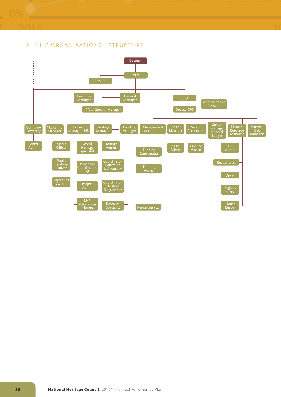# 8. NHC ORGANISATIONAL STRUCTURE

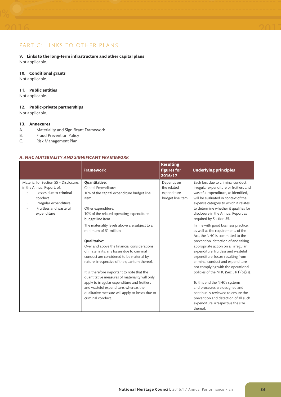# PART C: LINKS TO OTHER PLANS

# **9. Links to the long-term infrastructure and other capital plans**

Not applicable.

# **10. Conditional grants**

Not applicable.

# **11. Public entities**

Not applicable.

# **12. Public-private partnerships**

Not applicable.

# **13. Annexures**

- A. Materiality and Significant Framework
- B. Fraud Prevention Policy
- C. Risk Management Plan

# *A. NHC MATERIALITY AND SIGNIFICANT FRAMEWORK*

|                                                                                                                                                                           | <b>Framework</b>                                                                                                                                                                                                                                                                                                                                                                                                                                                                                                                                          | <b>Resulting</b><br>figures for<br>2016/17                   | <b>Underlying principles</b>                                                                                                                                                                                                                                                                                                                                                                                                                                                                                                                                                                      |
|---------------------------------------------------------------------------------------------------------------------------------------------------------------------------|-----------------------------------------------------------------------------------------------------------------------------------------------------------------------------------------------------------------------------------------------------------------------------------------------------------------------------------------------------------------------------------------------------------------------------------------------------------------------------------------------------------------------------------------------------------|--------------------------------------------------------------|---------------------------------------------------------------------------------------------------------------------------------------------------------------------------------------------------------------------------------------------------------------------------------------------------------------------------------------------------------------------------------------------------------------------------------------------------------------------------------------------------------------------------------------------------------------------------------------------------|
| Material for Section 55 - Disclosure.<br>in the Annual Report, of:<br>Losses due to criminal<br>conduct<br>Irregular expenditure<br>Fruitless and wasteful<br>expenditure | <b>Quantitative:</b><br>Capital Expenditure:<br>10% of the capital expenditure budget line<br>item<br>Other expenditure:<br>10% of the related operating expenditure<br>budget line item                                                                                                                                                                                                                                                                                                                                                                  | Depends on<br>the related<br>expenditure<br>budget line item | Each loss due to criminal conduct.<br>irregular expenditure or fruitless and<br>wasteful expenditure, as identified,<br>will be evaluated in context of the<br>expense category to which it relates<br>to determine whether it qualifies for<br>disclosure in the Annual Report as<br>required by Section 55.                                                                                                                                                                                                                                                                                     |
|                                                                                                                                                                           | The materiality levels above are subject to a<br>minimum of R1 million.<br><b>Qualitative:</b><br>Over and above the financial considerations<br>of materiality, any losses due to criminal<br>conduct are considered to be material by<br>nature, irrespective of the quantum thereof.<br>It is, therefore important to note that the<br>quantitative measures of materiality will only<br>apply to irregular expenditure and fruitless<br>and wasteful expenditure, whereas the<br>qualitative measure will apply to losses due to<br>criminal conduct. |                                                              | In line with good business practice,<br>as well as the requirements of the<br>Act, the NHC is committed to the<br>prevention, detection of and taking<br>appropriate action on all irregular<br>expenditure, fruitless and wasteful<br>expenditure, losses resulting from<br>criminal conduct and expenditure<br>not complying with the operational<br>policies of the NHC (Sec 51(1)(b)(ii)).<br>To this end the NHC's systems<br>and processes are designed and<br>continually reviewed to ensure the<br>prevention and detection of all such<br>expenditure, irrespective the size<br>thereof. |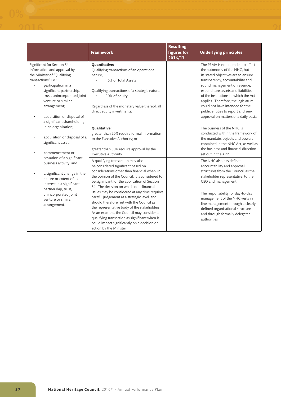|                                                                                                                                                                                                                                                                                                                    | <b>Framework</b>                                                                                                                                                                                                                                                                                                                                                  | <b>Resulting</b><br>figures for<br>2016/17 | <b>Underlying principles</b>                                                                                                                                                                                                                                                                                                                                                                                          |
|--------------------------------------------------------------------------------------------------------------------------------------------------------------------------------------------------------------------------------------------------------------------------------------------------------------------|-------------------------------------------------------------------------------------------------------------------------------------------------------------------------------------------------------------------------------------------------------------------------------------------------------------------------------------------------------------------|--------------------------------------------|-----------------------------------------------------------------------------------------------------------------------------------------------------------------------------------------------------------------------------------------------------------------------------------------------------------------------------------------------------------------------------------------------------------------------|
| Significant for Section 54 -<br>Information and approval by<br>the Minister of "Qualifying<br>transactions", i.e.:<br>participation in a<br>$\bullet$<br>significant partnership,<br>trust, unincorporated joint<br>venture or similar<br>arrangement;<br>acquisition or disposal of<br>a significant shareholding | <b>Quantitative:</b><br>Qualifying transactions of an operational<br>nature,<br>15% of Total Assets<br>Qualifying transactions of a strategic nature.<br>10% of equity<br>Regardless of the monetary value thereof, all<br>direct equity investments:                                                                                                             |                                            | The PFMA is not intended to affect<br>the autonomy of the NHC, but<br>its stated objectives are to ensure<br>transparency, accountability and<br>sound management of revenue,<br>expenditure, assets and liabilities<br>of the institutions to which the Act<br>applies. Therefore, the legislature<br>could not have intended for the<br>public entities to report and seek<br>approval on matters of a daily basis; |
| in an organisation;<br>acquisition or disposal of a<br>significant asset;<br>commencement or                                                                                                                                                                                                                       | <b>Qualitative:</b><br>greater than 20% require formal information<br>to the Executive Authority; or<br>greater than 50% require approval by the<br>Executive Authority.                                                                                                                                                                                          |                                            | The business of the NHC is<br>conducted within the framework of<br>the mandate, objects and powers<br>contained in the NHC Act, as well as<br>the business and financial direction<br>set out in the APP;                                                                                                                                                                                                             |
| cessation of a significant<br>business activity; and<br>a significant change in the<br>nature or extent of its<br>interest in a significant<br>partnership, trust,                                                                                                                                                 | A qualifying transaction may also<br>be considered significant based on<br>considerations other than financial when, in<br>the opinion of the Council, it is considered to<br>be significant for the application of Section<br>54. The decision on which non-financial                                                                                            |                                            | The NHC also has defined<br>accountability and approval<br>structures from the Council, as the<br>stakeholder representative, to the<br>CEO and management;                                                                                                                                                                                                                                                           |
| unincorporated joint<br>venture or similar<br>arrangement.                                                                                                                                                                                                                                                         | issues may be considered at any time requires<br>careful judgement at a strategic level, and<br>should therefore rest with the Council as<br>the representative body of the stakeholders.<br>As an example, the Council may consider a<br>qualifying transaction as significant when it<br>could impact significantly on a decision or<br>action by the Minister. |                                            | The responsibility for day-to-day<br>management of the NHC vests in<br>line management through a clearly<br>defined organisational structure<br>and through formally delegated<br>authorities.                                                                                                                                                                                                                        |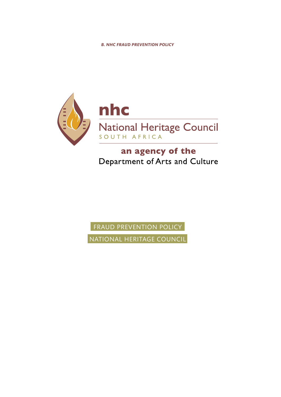*B. NHC Fraud Prevention Policy*



# an agency of the Department of Arts and Culture

FRAUD PREVENTION POLICY

NATIONAL HERITAGE COUNCIL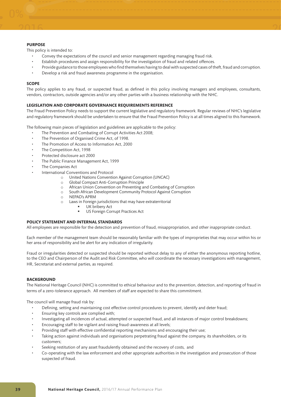## **PURPOSE**

This policy is intended to:

- Convey the expectations of the council and senior management regarding managing fraud risk.
- Establish procedures and assign responsibility for the investigation of fraud and related offences.
- Provide guidance to those employees who find themselves having to deal with suspected cases of theft, fraud and corruption.
- Develop a risk and fraud awareness programme in the organisation.

## **SCOPE**

The policy applies to any fraud, or suspected fraud, as defined in this policy involving managers and employees, consultants, vendors, contractors, outside agencies and/or any other parties with a business relationship with the NHC.

# **LEGISLATION AND CORPORATE GOVERNANCE REQUIREMENTS REFERENCE**

The Fraud Prevention Policy needs to support the current legislative and regulatory framework. Regular reviews of NHC's legislative and regulatory framework should be undertaken to ensure that the Fraud Prevention Policy is at all times aligned to this framework.

The following main pieces of legislation and guidelines are applicable to the policy:

- The Prevention and Combating of Corrupt Activities Act 2008;
- The Prevention of Organised Crime Act, of 1998.
- • The Promotion of Access to Information Act, 2000
- The Competition Act, 1998
- Protected disclosure act 2000
- The Public Finance Management Act, 1999
- The Companies Act
- International Conventions and Protocol
	- o United Nations Convention Against Corruption (UNCAC)
	- Global Compact Anti-Corruption Principle
	- o African Union Convention on Preventing and Combating of Corruption
	- o South African Development Community Protocol Against Corruption
	- o NEPAD's APRM
	- o Laws in Foreign jurisdictions that may have extraterritorial
		- **■** UK bribery Act
		- US Foreign Corrupt Practices Act

## **POLICY STATEMENT AND INTERNAL STANDARDS**

All employees are responsible for the detection and prevention of fraud, misappropriation, and other inappropriate conduct.

Each member of the management team should be reasonably familiar with the types of improprieties that may occur within his or her area of responsibility and be alert for any indication of irregularity.

Fraud or irregularities detected or suspected should be reported without delay to any of either the anonymous reporting hotline, to the CEO and Chairperson of the Audit and Risk Committee, who will coordinate the necessary investigations with management, HR, Secretariat and external parties, as required.

## **BACKGROUND**

The National Heritage Council (NHC) is committed to ethical behaviour and to the prevention, detection, and reporting of fraud in terms of a zero-tolerance approach. All members of staff are expected to share this commitment.

The council will manage fraud risk by:

- Defining, setting and maintaining cost effective control procedures to prevent, identify and deter fraud;
- Ensuring key controls are complied with;
- Investigating all incidences of actual, attempted or suspected fraud, and all instances of major control breakdowns;
- Encouraging staff to be vigilant and raising fraud-awareness at all levels;
- Providing staff with effective confidential reporting mechanisms and encouraging their use;
- Taking action against individuals and organisations perpetrating fraud against the company, its shareholders, or its customers;
- Seeking restitution of any asset fraudulently obtained and the recovery of costs, and
- Co-operating with the law enforcement and other appropriate authorities in the investigation and prosecution of those suspected of fraud.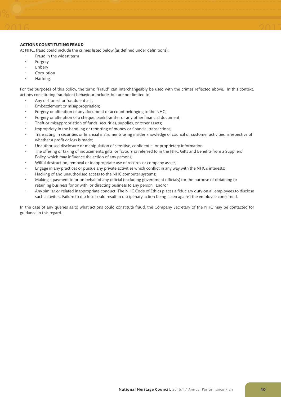# **ACTIONS CONSTITUTING FRAUD**

At NHC, fraud could include the crimes listed below (as defined under definitions):

- Fraud in the widest term
- **Forgery**
- • Bribery
- **Corruption**
- Hacking.

For the purposes of this policy, the term: "Fraud" can interchangeably be used with the crimes reflected above. In this context, actions constituting fraudulent behaviour include, but are not limited to:

- Any dishonest or fraudulent act;
- Embezzlement or misappropriation;
- Forgery or alteration of any document or account belonging to the NHC;
- Forgery or alteration of a cheque, bank transfer or any other financial document;
- Theft or misappropriation of funds, securities, supplies, or other assets;
- Impropriety in the handling or reporting of money or financial transactions;
- Transacting in securities or financial instruments using insider knowledge of council or customer activities, irrespective of whether a profit or loss is made;
- Unauthorised disclosure or manipulation of sensitive, confidential or proprietary information;
- The offering or taking of inducements, gifts, or favours as referred to in the NHC Gifts and Benefits from a Suppliers' Policy, which may influence the action of any persons;
- Wilful destruction, removal or inappropriate use of records or company assets;
- Engage in any practices or pursue any private activities which conflict in any way with the NHC's interests;
- Hacking of and unauthorised access to the NHC computer systems;
- Making a payment to or on behalf of any official (including government officials) for the purpose of obtaining or retaining business for or with, or directing business to any person, and/or
- Any similar or related inappropriate conduct. The NHC Code of Ethics places a fiduciary duty on all employees to disclose such activities. Failure to disclose could result in disciplinary action being taken against the employee concerned.

In the case of any queries as to what actions could constitute fraud, the Company Secretary of the NHC may be contacted for guidance in this regard.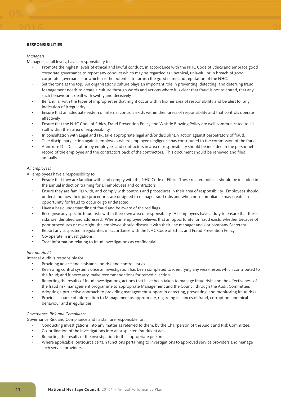## **RESPONSIBILITIES**

#### *Managers*

Managers, at all levels, have a responsibility to:

- Promote the highest levels of ethical and lawful conduct, in accordance with the NHC Code of Ethics and embrace good corporate governance to report any conduct which may be regarded as unethical, unlawful or in breach of good corporate governance, or which has the potential to tarnish the good name and reputation of the NHC.
- Set the tone at the top. An organisation's culture plays an important role in preventing, detecting, and deterring fraud. Management needs to create a culture through words and actions where it is clear that fraud is not tolerated, that any such behaviour is dealt with swiftly and decisively.
- Be familiar with the types of improprieties that might occur within his/her area of responsibility and be alert for any indication of irregularity.
- Ensure that an adequate system of internal controls exists within their areas of responsibility and that controls operate effectively.
- Ensure that the NHC Code of Ethics, Fraud Prevention Policy and Whistle Blowing Policy are well communicated to all staff within their area of responsibility.
- In consultation with Legal and HR, take appropriate legal and/or disciplinary action against perpetrators of fraud.
- Take disciplinary action against employees where employee negligence has contributed to the commission of the fraud.
- Annexure D Declaration by employees and contractors in area of responsibility should be included in the personnel record of the employee and the contractors pack of the contractors. This document should be renewed and filed annually.

## *All Employees*

All employees have a responsibility to:

- Ensure that they are familiar with, and comply with the NHC Code of Ethics. These related policies should be included in the annual induction training for all employees and contractors.
- Ensure they are familiar with, and comply with controls and procedures in their area of responsibility. Employees should understand how their job procedures are designed to manage fraud risks and when non-compliance may create an opportunity for fraud to occur or go undetected.
- Have a basic understanding of fraud and be aware of the red flags.
- Recognise any specific fraud risks within their own area of responsibility. All employees have a duty to ensure that these risks are identified and addressed. Where an employee believes that an opportunity for fraud exists, whether because of poor procedures or oversight, the employee should discuss it with their line manager and / or company Secretary.
- Report any suspected irregularities in accordance with the NHC Code of Ethics and Fraud Prevention Policy.
- Co-operate in investigations.
- Treat information relating to fraud investigations as confidential.

## *Internal Audit*

Internal Audit is responsible for:

- Providing advice and assistance on risk and control issues.
- Reviewing control systems once an investigation has been completed to identifying any weaknesses which contributed to the fraud; and if necessary, make recommendations for remedial action.
- Reporting the results of fraud investigations, actions that have been taken to manage fraud risks and the effectiveness of the fraud risk management programme to appropriate Management and the Council through the Audit Committee.
- Adopting a pro-active approach to providing management support in detecting, preventing, and monitoring fraud risks.
- Provide a source of information to Management as appropriate, regarding instances of fraud, corruption, unethical behaviour and irregularities.

## *Governance, Risk and Compliance*

Governance Risk and Compliance and its staff are responsible for:

- Conducting investigations into any matter as referred to them, by the Chairperson of the Audit and Risk Committee.
- Co-ordination of the investigations into all suspected fraudulent acts.
- Reporting the results of the investigation to the appropriate person.
- Where applicable, outsource certain functions pertaining to investigations to approved service providers and manage such service providers.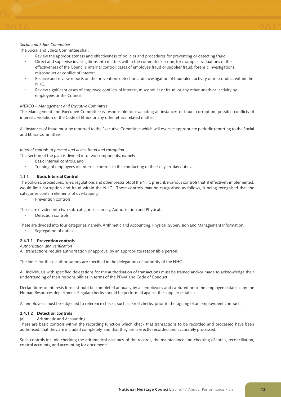## *Social and Ethics Committee*

The Social and Ethics Committee shall:

- Review the appropriateness and effectiveness of policies and procedures for preventing or detecting fraud.
- Direct and supervise investigations into matters within the committee's scope, for example, evaluations of the effectiveness of the Council's internal control, cases of employee fraud or supplier fraud, forensic investigations, misconduct or conflict of interest.
- Receive and review reports on the prevention, detection and investigation of fraudulent activity or misconduct within the NHC.
- Review significant cases of employee conflicts of interest, misconduct or fraud, or any other unethical activity by employees or the Council.

## *MEXCO – Management and Executive Committee*

The Management and Executive Committee is responsible for evaluating all instances of fraud, corruption, possible conflicts of interests, violation of the Code of Ethics or any other ethics related matter.

All instances of fraud must be reported to the Executive Committee which will oversee appropriate periodic reporting to the Social and Ethics Committee.

*Internal controls to prevent and detect fraud and corruption*

This section of the plan is divided into two components, namely:

- Basic internal controls, and
- Training of employees on internal controls in the conducting of their day-to-day duties.

# 1.1.1 **Basic Internal Control**

The policies, procedures, rules, regulations and other prescripts of the NHC prescribe various controls that, if effectively implemented, would limit corruption and fraud within the NHC. These controls may be categorised as follows, it being recognised that the categories contain elements of overlapping:

Prevention controls:

These are divided into two sub-categories, namely, Authorisation and Physical.

Detection controls:

These are divided into four categories, namely, Arithmetic and Accounting, Physical, Supervision and Management Information.

Segregation of duties.

# **2.4.1.1 Prevention controls**

# *Authorisation and verification*

All transactions require authorisation or approval by an appropriate responsible person.

The limits for these authorisations are specified in the delegations of authority of the NHC.

All individuals with specified delegations for the authorisation of transactions must be trained and/or made to acknowledge their understanding of their responsibilities in terms of the PFMA and Code of Conduct.

Declarations of interests forms should be completed annually by all employees and captured onto the employee database by the Human Resources department. Regular checks should be performed against the supplier database.

All employees must be subjected to reference checks, such as Kroll checks, prior to the signing of an employment contract.

## **2.4.1.2 Detection controls**

(a) Arithmetic and Accounting

These are basic controls within the recording function which check that transactions to be recorded and processed have been authorised, that they are included completely, and that they are correctly recorded and accurately processed.

Such controls include checking the arithmetical accuracy of the records, the maintenance and checking of totals, reconciliation, control accounts, and accounting for documents.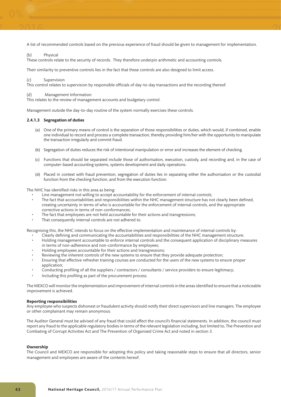A list of recommended controls based on the previous experience of fraud should be given to management for implementation.

#### (b) Physical

These controls relate to the security of records. They therefore underpin arithmetic and accounting controls.

Their similarity to preventive controls lies in the fact that these controls are also designed to limit access.

## (c) Supervision

This control relates to supervision by responsible officials of day-to-day transactions and the recording thereof.

#### (d) Management Information

This relates to the review of management accounts and budgetary control.

Management outside the day-to-day routine of the system normally exercises these controls.

#### **2.4.1.3 Segregation of duties**

- (a) One of the primary means of control is the separation of those responsibilities or duties, which would, if combined, enable one individual to record and process a complete transaction, thereby providing him/her with the opportunity to manipulate the transaction irregularly and commit fraud.
- (b) Segregation of duties reduces the risk of intentional manipulation or error and increases the element of checking.
- (c) Functions that should be separated include those of authorisation, execution, custody, and recording and, in the case of computer-based accounting systems, systems development and daily operations.
- (d) Placed in context with fraud prevention, segregation of duties lies in separating either the authorisation or the custodial function from the checking function, and from the execution function.

The NHC has identified risks in this area as being:

- Line management not willing to accept accountability for the enforcement of internal controls;
- The fact that accountabilities and responsibilities within the NHC management structure has not clearly been defined, creating uncertainty in terms of who is accountable for the enforcement of internal controls, and the appropriate corrective actions in terms of non-conformances;
- The fact that employees are not held accountable for their actions and transgressions:
- That consequently internal controls are not adhered to.

Recognising this, the NHC intends to focus on the effective implementation and maintenance of internal controls by:

- Clearly defining and communicating the accountabilities and responsibilities of the NHC management structure;
- Holding management accountable to enforce internal controls and the consequent application of disciplinary measures in terms of non-adherence and non-conformance by employees;
- Holding employees accountable for their actions and transgressions;
- Reviewing the inherent controls of the new systems to ensure that they provide adequate protection;
- Ensuring that effective refresher training courses are conducted for the users of the new systems to ensure proper application;
- Conducting profiling of all the suppliers / contractors / consultants / service providers to ensure legitimacy;
- Including this profiling as part of the procurement process.

The MEXCO will monitor the implementation and improvement of internal controls in the areas identified to ensure that a noticeable improvement is achieved.

#### **Reporting responsibilities**

Any employee who suspects dishonest or fraudulent activity should notify their direct supervisors and line managers. The employee or other complainant may remain anonymous.

The Auditor General must be advised of any fraud that could affect the council's financial statements. In addition, the council must report any fraud to the applicable regulatory bodies in terms of the relevant legislation including, but limited to, The Prevention and Combating of Corrupt Activities Act and The Prevention of Organised Crime Act and noted in section 3.

#### **Ownership**

The Council and MEXCO are responsible for adopting this policy and taking reasonable steps to ensure that all directors, senior management and employees are aware of the contents hereof.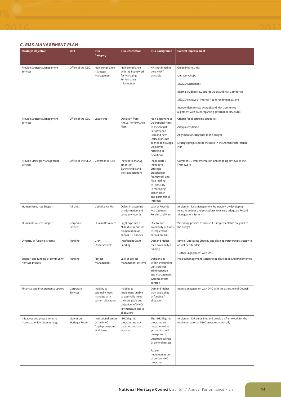# *C. Risk Management Plan*

| <b>Strategic Objective</b>                                      | <b>Unit</b>                  | <b>Risk</b>                                                              | <b>Risk Description</b>                                                                                                                | <b>Risk Background</b>                                                                                                                                                                        | <b>Control Improvement</b>                                                                                                                                                                                                                                                         |
|-----------------------------------------------------------------|------------------------------|--------------------------------------------------------------------------|----------------------------------------------------------------------------------------------------------------------------------------|-----------------------------------------------------------------------------------------------------------------------------------------------------------------------------------------------|------------------------------------------------------------------------------------------------------------------------------------------------------------------------------------------------------------------------------------------------------------------------------------|
|                                                                 |                              | <b>Category</b>                                                          |                                                                                                                                        |                                                                                                                                                                                               |                                                                                                                                                                                                                                                                                    |
| Provide Strategic Management<br>Services                        | Office of the CEO            | Non-compliance<br>- Strategy<br>Management                               | Non-compliance<br>with the Framework<br>for Managing<br>Performance<br>Information                                                     | KPIs not meeting<br>the SMART<br>principle                                                                                                                                                    | Guidelines to Units<br>Unit workshops<br>MEXCO assessment<br>Internal Audit review prior to Audit and Risk Committee<br>MEXCO reviews of Internal Audits recommendations<br>Independent review by Audit and Risk Committee<br>alignment with dates regarding governance structures |
| Provide Strategic Management<br>Services                        | Office of the CEO            | Leadership                                                               | Deviation from<br>Annual Performance<br>Plan                                                                                           | Non-alignment of<br><b>Operational Plans</b><br>to the Annual<br>Performance<br>Plan and new<br>instructions not<br>aligned to Strategic<br>Objectives<br>resulting in<br>deviations          | Criteria for all strategic categories<br>Adequately define<br>Alignment of categories to the budget<br>Strategic projects to be included in the Annual Performance<br>Plan                                                                                                         |
| Provide Strategic Management<br>Services                        | Office of the CEO            | Governance Risk                                                          | Ineffective manag<br>ement of<br>partnerships and<br>their expectations                                                                | Inadequate /<br>ineffective<br>Strategic<br>Stakeholder<br>Framework and<br>Plan leading<br>to difficulty<br>in managing<br>stakeholder<br>and partnership<br>interests                       | Comments / implementation and ongoing reviews of the<br>Framework                                                                                                                                                                                                                  |
| Human Resources Support                                         | All Units                    | Compliance Risk                                                          | Delays in accessing<br>of information and<br>company records                                                                           | Lack of Records<br>Management<br>Policies and Plans                                                                                                                                           | Implement Risk Management Framework by developing<br>relevant policies and procedures to ensure adequate Record<br>Management System                                                                                                                                               |
| Human Resources Support                                         | Corporate<br>Services        | Human Resources                                                          | Legal exposure of<br>NHC due to non-im-<br>plementation of<br>certain HR policies                                                      | Due to non-<br>availability of funds<br>to implement<br>certain policies                                                                                                                      | Workshop policies to ensure it is implementable / aligned to<br>the Budget                                                                                                                                                                                                         |
| Diversity of funding streams                                    | Funding                      | Grant<br>Disbursements                                                   | Insufficient Grant<br>Funding                                                                                                          | Demand higher<br>than availability of<br>funding                                                                                                                                              | Revise Fundraising Strategy and develop Partnership Strategy to<br>attract new funders<br>Further Engagement with DAC                                                                                                                                                              |
| Support and funding of community<br>heritage projects           | Funding                      | Project<br>Management                                                    | Lack of project<br>management systems                                                                                                  | Deficiencies<br>within the funding<br>unit's project<br>administration<br>and management<br>systems affects<br>controls                                                                       | Project management system to be developed and implemented                                                                                                                                                                                                                          |
| Financial and Procurement Support                               | Corporate<br>Services        | Inability to<br>optimally meet<br>mandate with<br>current allocation     | Inability to<br>implement/unable<br>to optimally meet<br>the core goals and<br>objectives of NHCs<br>key mandate due to<br>allocations | Demand higher<br>than availability<br>of funding /<br>allocation                                                                                                                              | Intense engagement with DAC with the assistance of Council                                                                                                                                                                                                                         |
| Initiatives and programmes to<br>mainstream liberation heritage | Liberation<br>Heritage Route | Institutionalization<br>of the NHC<br>flagship programs<br>at all levels | NHC flagship<br>programs are not<br>patented and are<br>exposed                                                                        | The NHC flagship<br>programs are<br>not patented as<br>yet and it could<br>be exposed to<br>unscrupulous use<br>or general misuse<br>Parallel<br>implementation<br>of certain NHC<br>programs | Implement IGR guidelines and develop a framework for the<br>implementation of NHC programs nationally                                                                                                                                                                              |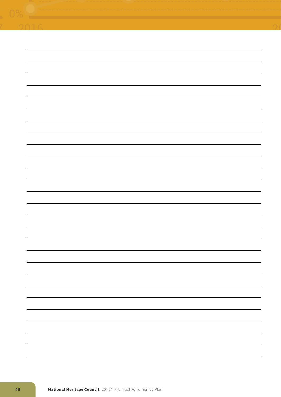| - |
|---|
|   |
|   |
|   |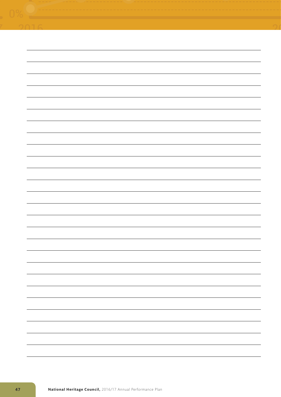| - |
|---|
|   |
|   |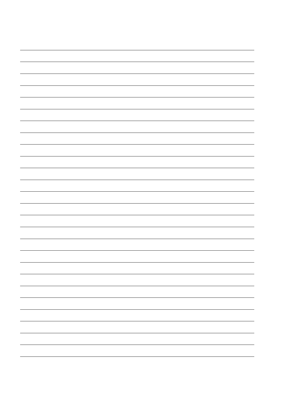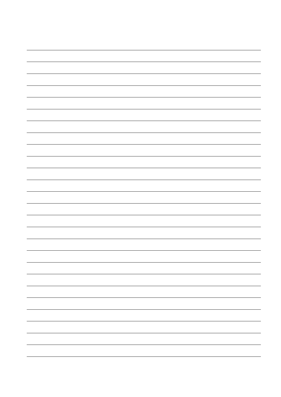